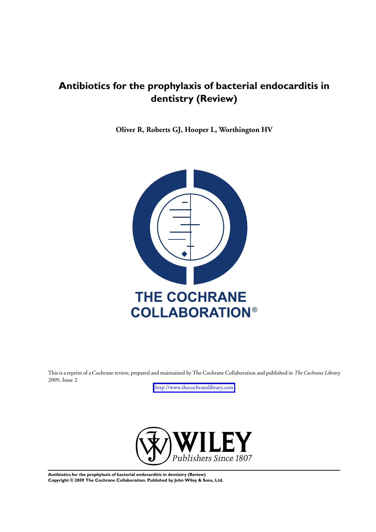# **Antibiotics for the prophylaxis of bacterial endocarditis in dentistry (Review)**

**Oliver R, Roberts GJ, Hooper L, Worthington HV**



This is a reprint of a Cochrane review, prepared and maintained by The Cochrane Collaboration and published in *The Cochrane Library* 2009, Issue 2

<http://www.thecochranelibrary.com>



**Antibiotics for the prophylaxis of bacterial endocarditis in dentistry (Review) Copyright © 2009 The Cochrane Collaboration. Published by John Wiley & Sons, Ltd.**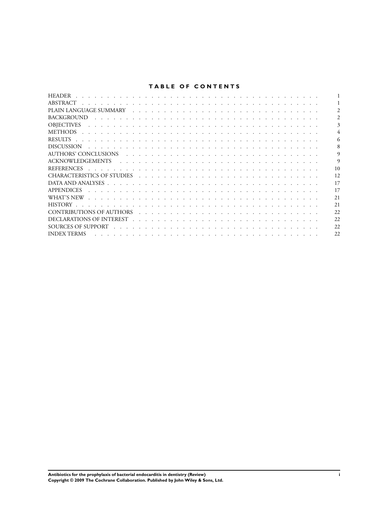# **TABLE OF CONTENTS**

| <b>HEADER</b>                                                                                                                                                                                                                                       |          |
|-----------------------------------------------------------------------------------------------------------------------------------------------------------------------------------------------------------------------------------------------------|----------|
| ABSTRACT<br><u>. In the second contract of the second contract of the second contract of the second contract of the second contract of the second</u>                                                                                               |          |
|                                                                                                                                                                                                                                                     |          |
| <b>BACKGROUND</b>                                                                                                                                                                                                                                   |          |
| <b>OBIECTIVES</b>                                                                                                                                                                                                                                   |          |
| <b>METHODS</b>                                                                                                                                                                                                                                      |          |
| <b>RESULTS</b>                                                                                                                                                                                                                                      | 6        |
| <b>DISCUSSION</b>                                                                                                                                                                                                                                   |          |
| AUTHORS' CONCLUSIONS                                                                                                                                                                                                                                | $\Omega$ |
| ACKNOWLEDGEMENTS<br><u>. In the second contract of the second contract of the second contract of the second</u>                                                                                                                                     | q        |
| <b>REFERENCES</b><br>and the contract of the contract of the contract of the contract of the contract of the contract of the contract of the contract of the contract of the contract of the contract of the contract of the contract of the contra | 10       |
|                                                                                                                                                                                                                                                     | 12       |
|                                                                                                                                                                                                                                                     | 17       |
| <b>APPENDICES</b>                                                                                                                                                                                                                                   | 17       |
|                                                                                                                                                                                                                                                     | 2.1      |
|                                                                                                                                                                                                                                                     | 2.1      |
|                                                                                                                                                                                                                                                     | 22       |
|                                                                                                                                                                                                                                                     | 22       |
|                                                                                                                                                                                                                                                     | 22       |
| <b>INDEX TERMS</b>                                                                                                                                                                                                                                  | 22       |
|                                                                                                                                                                                                                                                     |          |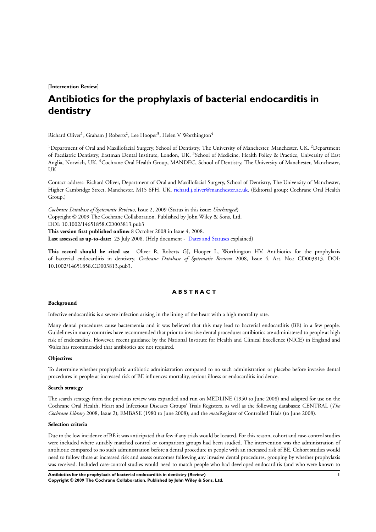**[Intervention Review]**

# **Antibiotics for the prophylaxis of bacterial endocarditis in dentistry**

Richard Oliver $^1$ , Graham J Roberts $^2$ , Lee Hooper $^3$ , Helen V Worthington $^4$ 

<sup>1</sup>Department of Oral and Maxillofacial Surgery, School of Dentistry, The University of Manchester, Manchester, UK. <sup>2</sup>Department of Paediatric Dentistry, Eastman Dental Institute, London, UK. <sup>3</sup>School of Medicine, Health Policy & Practice, University of East Anglia, Norwich, UK. <sup>4</sup>Cochrane Oral Health Group, MANDEC, School of Dentistry, The University of Manchester, Manchester, UK

Contact address: Richard Oliver, Department of Oral and Maxillofacial Surgery, School of Dentistry, The University of Manchester, Higher Cambridge Street, Manchester, M15 6FH, UK. [richard.j.oliver@manchester.ac.uk](mailto:richard.j.oliver@manchester.ac.uk). (Editorial group: Cochrane Oral Health Group.)

*Cochrane Database of Systematic Reviews*, Issue 2, 2009 (Status in this issue: *Unchanged*) Copyright © 2009 The Cochrane Collaboration. Published by John Wiley & Sons, Ltd. DOI: 10.1002/14651858.CD003813.pub3 **This version first published online:** 8 October 2008 in Issue 4, 2008.

**Last assessed as up-to-date:** 23 July 2008. (Help document - [Dates and Statuses](http://www3.interscience.wiley.com/cgi-bin/mrwhome/106568753/DatesStatuses.pdf) explained)

**This record should be cited as:** Oliver R, Roberts GJ, Hooper L, Worthington HV. Antibiotics for the prophylaxis of bacterial endocarditis in dentistry. *Cochrane Database of Systematic Reviews* 2008, Issue 4. Art. No.: CD003813. DOI: 10.1002/14651858.CD003813.pub3.

# **A B S T R A C T**

# **Background**

Infective endocarditis is a severe infection arising in the lining of the heart with a high mortality rate.

Many dental procedures cause bacteraemia and it was believed that this may lead to bacterial endocarditis (BE) in a few people. Guidelines in many countries have recommended that prior to invasive dental procedures antibiotics are administered to people at high risk of endocarditis. However, recent guidance by the National Institute for Health and Clinical Excellence (NICE) in England and Wales has recommended that antibiotics are not required.

# **Objectives**

To determine whether prophylactic antibiotic administration compared to no such administration or placebo before invasive dental procedures in people at increased risk of BE influences mortality, serious illness or endocarditis incidence.

#### **Search strategy**

The search strategy from the previous review was expanded and run on MEDLINE (1950 to June 2008) and adapted for use on the Cochrane Oral Health, Heart and Infectious Diseases Groups' Trials Registers, as well as the following databases: CENTRAL (*The Cochrane Library* 2008, Issue 2); EMBASE (1980 to June 2008); and the *meta*Register of Controlled Trials (to June 2008).

### **Selection criteria**

Due to the low incidence of BE it was anticipated that few if any trials would be located. For this reason, cohort and case-control studies were included where suitably matched control or comparison groups had been studied. The intervention was the administration of antibiotic compared to no such administration before a dental procedure in people with an increased risk of BE. Cohort studies would need to follow those at increased risk and assess outcomes following any invasive dental procedures, grouping by whether prophylaxis was received. Included case-control studies would need to match people who had developed endocarditis (and who were known to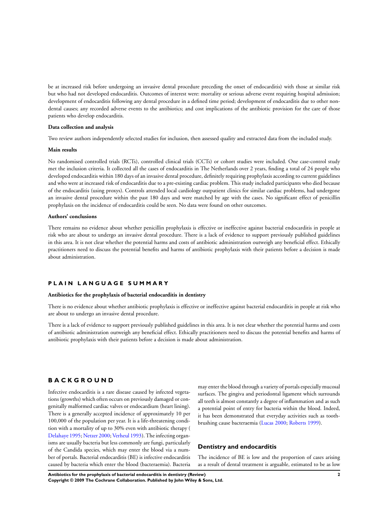be at increased risk before undergoing an invasive dental procedure preceding the onset of endocarditis) with those at similar risk but who had not developed endocarditis. Outcomes of interest were: mortality or serious adverse event requiring hospital admission; development of endocarditis following any dental procedure in a defined time period; development of endocarditis due to other nondental causes; any recorded adverse events to the antibiotics; and cost implications of the antibiotic provision for the care of those patients who develop endocarditis.

### **Data collection and analysis**

Two review authors independently selected studies for inclusion, then assessed quality and extracted data from the included study.

### **Main results**

No randomised controlled trials (RCTs), controlled clinical trials (CCTs) or cohort studies were included. One case-control study met the inclusion criteria. It collected all the cases of endocarditis in The Netherlands over 2 years, finding a total of 24 people who developed endocarditis within 180 days of an invasive dental procedure, definitely requiring prophylaxis according to current guidelines and who were at increased risk of endocarditis due to a pre-existing cardiac problem. This study included participants who died because of the endocarditis (using proxys). Controls attended local cardiology outpatient clinics for similar cardiac problems, had undergone an invasive dental procedure within the past 180 days and were matched by age with the cases. No significant effect of penicillin prophylaxis on the incidence of endocarditis could be seen. No data were found on other outcomes.

### **Authors' conclusions**

There remains no evidence about whether penicillin prophylaxis is effective or ineffective against bacterial endocarditis in people at risk who are about to undergo an invasive dental procedure. There is a lack of evidence to support previously published guidelines in this area. It is not clear whether the potential harms and costs of antibiotic administration outweigh any beneficial effect. Ethically practitioners need to discuss the potential benefits and harms of antibiotic prophylaxis with their patients before a decision is made about administration.

# **P L A I N L A N G U A G E S U M M A R Y**

# **Antibiotics for the prophylaxis of bacterial endocarditis in dentistry**

There is no evidence about whether antibiotic prophylaxis is effective or ineffective against bacterial endocarditis in people at risk who are about to undergo an invasive dental procedure.

There is a lack of evidence to support previously published guidelines in this area. It is not clear whether the potential harms and costs of antibiotic administration outweigh any beneficial effect. Ethically practitioners need to discuss the potential benefits and harms of antibiotic prophylaxis with their patients before a decision is made about administration.

# **B A C K G R O U N D**

Infective endocarditis is a rare disease caused by infected vegetations (growths) which often occurs on previously damaged or congenitally malformed cardiac valves or endocardium (heart lining). There is a generally accepted incidence of approximately 10 per 100,000 of the population per year. It is a life-threatening condition with a mortality of up to 30% even with antibiotic therapy ( [Delahaye 1995;](#page-11-0) [Netzer 2000](#page-11-0); [Verheul 1993](#page-11-0)). The infecting organisms are usually bacteria but less commonly are fungi, particularly of the Candida species, which may enter the blood via a number of portals. Bacterial endocarditis (BE) is infective endocarditis caused by bacteria which enter the blood (bacteraemia). Bacteria

may enter the blood through a variety of portals especially mucosal surfaces. The gingiva and periodontal ligament which surrounds all teeth is almost constantly a degree of inflammation and as such a potential point of entry for bacteria within the blood. Indeed, it has been demonstrated that everyday activities such as toothbrushing cause bacteraemia [\(Lucas 2000](#page-11-0); [Roberts 1999\)](#page-11-0).

# **Dentistry and endocarditis**

The incidence of BE is low and the proportion of cases arising as a result of dental treatment is arguable, estimated to be as low

**Antibiotics for the prophylaxis of bacterial endocarditis in dentistry (Review) 2 Copyright © 2009 The Cochrane Collaboration. Published by John Wiley & Sons, Ltd.**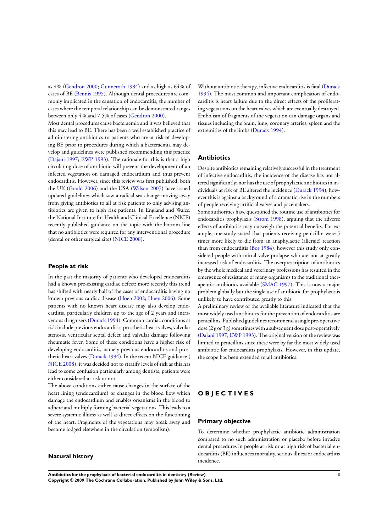as 4% ([Gendron 2000;](#page-11-0) [Gunneroth 1984\)](#page-11-0) and as high as 64% of cases of BE [\(Bennis 1995](#page-11-0)). Although dental procedures are commonly implicated in the causation of endocarditis, the number of cases where the temporal relationship can be demonstrated ranges between only 4% and 7.5% of cases [\(Gendron 2000](#page-11-0)).

Most dental procedures cause bacteraemia and it was believed that this may lead to BE. There has been a well established practice of administering antibiotics to patients who are at risk of developing BE prior to procedures during which a bacteraemia may develop and guidelines were published recommending this practice [\(Dajani 1997](#page-11-0); [EWP 1993](#page-11-0)). The rationale for this is that a high circulating dose of antibiotic will prevent the development of an infected vegetation on damaged endocardium and thus prevent endocarditis. However, since this review was first published, both the UK ([Gould 2006](#page-11-0)) and the USA [\(Wilson 2007\)](#page-11-0) have issued updated guidelines which saw a radical sea-change moving away from giving antibiotics to all at risk patients to only advising antibiotics are given to high risk patients. In England and Wales, the National Institute for Health and Clinical Excellence (NICE) recently published guidance on the topic with the bottom line that no antibiotics were required for any interventional procedure (dental or other surgical site) [\(NICE 2008\)](#page-11-0).

### **People at risk**

In the past the majority of patients who developed endocarditis had a known pre-existing cardiac defect; more recently this trend has shifted with nearly half of the cases of endocarditis having no known previous cardiac disease [\(Hoen 2002;](#page-11-0) [Hoen 2006](#page-11-0)). Some patients with no known heart disease may also develop endocarditis, particularly children up to the age of 2 years and intravenous drug users ([Durack 1994\)](#page-11-0). Common cardiac conditions at risk include previous endocarditis, prosthetic heart valves, valvular stenosis, ventricular septal defect and valvular damage following rheumatic fever. Some of these conditions have a higher risk of developing endocarditis, namely previous endocarditis and prosthetic heart valves [\(Durack 1994\)](#page-11-0). In the recent NICE guidance ( [NICE 2008\)](#page-11-0), it was decided not to stratify levels of risk as this has lead to some confusion particularly among dentists, patients were either considered at risk or not.

The above conditions either cause changes in the surface of the heart lining (endocardium) or changes in the blood flow which damage the endocardium and enables organisms in the blood to adhere and multiply forming bacterial vegetations. This leads to a severe systemic illness as well as direct effects on the functioning of the heart. Fragments of the vegetations may break away and become lodged elsewhere in the circulation (embolism).

# **Natural history**

Without antibiotic therapy, infective endocarditis is fatal [\(Durack](#page-11-0) [1994](#page-11-0)). The most common and important complication of endocarditis is heart failure due to the direct effects of the proliferating vegetations on the heart valves which are eventually destroyed. Embolism of fragments of the vegetation can damage organs and tissues including the brain, lung, coronary arteries, spleen and the extremities of the limbs ([Durack 1994](#page-11-0)).

# **Antibiotics**

Despite antibiotics remaining relatively successful in the treatment of infective endocarditis, the incidence of the disease has not altered significantly; nor has the use of prophylactic antibiotics in individuals at risk of BE altered the incidence [\(Durack 1994](#page-11-0)), however this is against a background of a dramatic rise in the numbers of people receiving artificial valves and pacemakers.

Some authorities have questioned the routine use of antibiotics for endocarditis prophylaxis ([Strom 1998\)](#page-11-0), arguing that the adverse effects of antibiotics may outweigh the potential benefits. For example, one study stated that patients receiving penicillin were 5 times more likely to die from an anaphylactic (allergic) reaction than from endocarditis ([Bor 1984\)](#page-11-0), however this study only considered people with mitral valve prolapse who are not at greatly increased risk of endocarditis. The overprescription of antibiotics by the whole medical and veterinary professions has resulted in the emergence of resistance of many organisms to the traditional therapeutic antibiotics available ([SMAC 1997\)](#page-11-0). This is now a major problem globally but the single use of antibiotic for prophylaxis is unlikely to have contributed greatly to this.

A preliminary review of the available literature indicated that the most widely used antibiotics for the prevention of endocarditis are penicillins. Published guidelines recommend a single pre-operative dose (2 g or 3 g) sometimes with a subsequent dose post-operatively [\(Dajani 1997;](#page-11-0) [EWP 1993](#page-11-0)). The original version of the review was limited to penicillins since these were by far the most widely used antibiotic for endocarditis prophylaxis. However, in this update, the scope has been extended to all antibiotics.

# **O B J E C T I V E S**

# **Primary objective**

To determine whether prophylactic antibiotic administration compared to no such administration or placebo before invasive dental procedures in people at risk or at high risk of bacterial endocarditis (BE) influences mortality, serious illness or endocarditis incidence.

**Antibiotics for the prophylaxis of bacterial endocarditis in dentistry (Review) 3 Copyright © 2009 The Cochrane Collaboration. Published by John Wiley & Sons, Ltd.**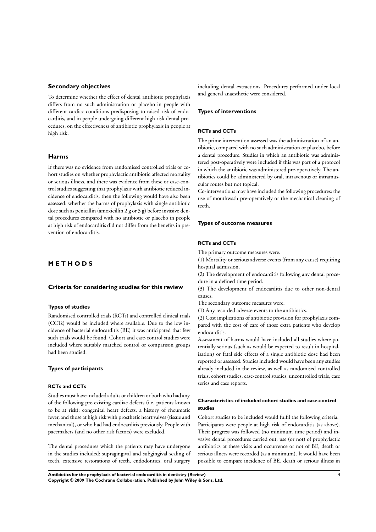# **Secondary objectives**

To determine whether the effect of dental antibiotic prophylaxis differs from no such administration or placebo in people with different cardiac conditions predisposing to raised risk of endocarditis, and in people undergoing different high risk dental procedures, on the effectiveness of antibiotic prophylaxis in people at high risk.

# **Harms**

If there was no evidence from randomised controlled trials or cohort studies on whether prophylactic antibiotic affected mortality or serious illness, and there was evidence from these or case-control studies suggesting that prophylaxis with antibiotic reduced incidence of endocarditis, then the following would have also been assessed: whether the harms of prophylaxis with single antibiotic dose such as penicillin (amoxicillin 2 g or 3 g) before invasive dental procedures compared with no antibiotic or placebo in people at high risk of endocarditis did not differ from the benefits in prevention of endocarditis.

# **M E T H O D S**

# **Criteria for considering studies for this review**

### **Types of studies**

Randomised controlled trials (RCTs) and controlled clinical trials (CCTs) would be included where available. Due to the low incidence of bacterial endocarditis (BE) it was anticipated that few such trials would be found. Cohort and case-control studies were included where suitably matched control or comparison groups had been studied.

# **Types of participants**

# **RCTs and CCTs**

Studies must have included adults or children or both who had any of the following pre-existing cardiac defects (i.e. patients known to be at risk): congenital heart defects, a history of rheumatic fever, and those at high risk with prosthetic heart valves (tissue and mechanical), or who had had endocarditis previously. People with pacemakers (and no other risk factors) were excluded.

The dental procedures which the patients may have undergone in the studies included: supragingival and subgingival scaling of teeth, extensive restorations of teeth, endodontics, oral surgery

including dental extractions. Procedures performed under local and general anaesthetic were considered.

### **Types of interventions**

### **RCTs and CCTs**

The prime intervention assessed was the administration of an antibiotic, compared with no such administration or placebo, before a dental procedure. Studies in which an antibiotic was administered post-operatively were included if this was part of a protocol in which the antibiotic was administered pre-operatively. The antibiotics could be administered by oral, intravenous or intramuscular routes but not topical.

Co-interventions may have included the following procedures: the use of mouthwash pre-operatively or the mechanical cleaning of teeth.

### **Types of outcome measures**

# **RCTs and CCTs**

The primary outcome measures were.

(1) Mortality or serious adverse events (from any cause) requiring hospital admission.

(2) The development of endocarditis following any dental procedure in a defined time period.

(3) The development of endocarditis due to other non-dental causes.

The secondary outcome measures were.

(1) Any recorded adverse events to the antibiotics.

(2) Cost implications of antibiotic provision for prophylaxis compared with the cost of care of those extra patients who develop endocarditis.

Assessment of harms would have included all studies where potentially serious (such as would be expected to result in hospitalisation) or fatal side effects of a single antibiotic dose had been reported or assessed. Studies included would have been any studies already included in the review, as well as randomised controlled trials, cohort studies, case-control studies, uncontrolled trials, case series and case reports.

### **Characteristics of included cohort studies and case-control studies**

Cohort studies to be included would fulfil the following criteria: Participants were people at high risk of endocarditis (as above). Their progress was followed (no minimum time period) and invasive dental procedures carried out, use (or not) of prophylactic antibiotics at these visits and occurrence or not of BE, death or serious illness were recorded (as a minimum). It would have been possible to compare incidence of BE, death or serious illness in

**Antibiotics for the prophylaxis of bacterial endocarditis in dentistry (Review) 4 Copyright © 2009 The Cochrane Collaboration. Published by John Wiley & Sons, Ltd.**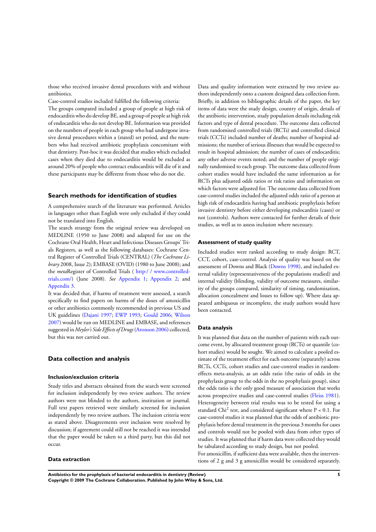those who received invasive dental procedures with and without antibiotics.

Case-control studies included fulfilled the following criteria: The groups compared included a group of people at high risk of endocarditis who do develop BE, and a group of people at high risk of endocarditis who do not develop BE. Information was provided on the numbers of people in each group who had undergone invasive dental procedures within a (stated) set period, and the numbers who had received antibiotic prophylaxis concomitant with that dentistry. Post-hoc it was decided that studies which excluded cases when they died due to endocarditis would be excluded as around 20% of people who contract endocarditis will die of it and these participants may be different from those who do not die.

### **Search methods for identification of studies**

A comprehensive search of the literature was performed. Articles in languages other than English were only excluded if they could not be translated into English.

The search strategy from the original review was developed on MEDLINE (1950 to June 2008) and adapted for use on the Cochrane Oral Health, Heart and Infectious Diseases Groups' Trials Registers, as well as the following databases: Cochrane Central Register of Controlled Trials (CENTRAL) (*The Cochrane Library* 2008, Issue 2); EMBASE (OVID) (1980 to June 2008); and the *meta*Register of Controlled Trials ( [http:/ / www.controlled](http://www.controlled-trials.com/)[trials.com/](http://www.controlled-trials.com/)) (June 2008). *See* [Appendix 1](#page-18-0); [Appendix 2](#page-19-0); and [Appendix 3.](#page-21-0)

It was decided that, if harms of treatment were assessed, a search specifically to find papers on harms of the doses of amoxicillin or other antibiotics commonly recommended in previous US and UK guidelines ([Dajani 1997](#page-11-0); [EWP 1993](#page-11-0); [Gould 2006;](#page-11-0) [Wilson](#page-11-0) [2007](#page-11-0)) would be run on MEDLINE and EMBASE, and references suggested in*Meyler's Side Effects of Drugs*[\(Aronson 2006](#page-11-0)) collected, but this was not carried out.

# **Data collection and analysis**

### **Inclusion/exclusion criteria**

Study titles and abstracts obtained from the search were screened for inclusion independently by two review authors. The review authors were not blinded to the authors, institution or journal. Full text papers retrieved were similarly screened for inclusion independently by two review authors. The inclusion criteria were as stated above. Disagreements over inclusion were resolved by discussion; if agreement could still not be reached it was intended that the paper would be taken to a third party, but this did not occur.

### **Data extraction**

Data and quality information were extracted by two review authors independently onto a custom designed data collection form. Briefly, in addition to bibliographic details of the paper, the key items of data were the study design, country of origin, details of the antibiotic intervention, study population details including risk factors and type of dental procedure. The outcome data collected from randomised controlled trials (RCTs) and controlled clinical trials (CCTs) included number of deaths; number of hospital admissions; the number of serious illnesses that would be expected to result in hospital admission; the number of cases of endocarditis; any other adverse events noted; and the number of people originally randomised to each group. The outcome data collected from cohort studies would have included the same information as for RCTs plus adjusted odds ratios or risk ratios and information on which factors were adjusted for. The outcome data collected from case-control studies included the adjusted odds ratio of a person at high risk of endocarditis having had antibiotic prophylaxis before invasive dentistry before either developing endocarditis (cases) or not (controls). Authors were contacted for further details of their studies, as well as to assess inclusion where necessary.

### **Assessment of study quality**

Included studies were ranked according to study design: RCT, CCT, cohort, case-control. Analysis of quality was based on the assessment of Downs and Black ([Downs 1998\)](#page-11-0), and included external validity (representativeness of the populations studied) and internal validity (blinding, validity of outcome measures, similarity of the groups compared, similarity of timing, randomisation, allocation concealment and losses to follow up). Where data appeared ambiguous or incomplete, the study authors would have been contacted.

### **Data analysis**

It was planned that data on the number of patients with each outcome event, by allocated treatment group (RCTs) or quantile (cohort studies) would be sought. We aimed to calculate a pooled estimate of the treatment effect for each outcome (separately) across RCTs, CCTs, cohort studies and case-control studies in randomeffects meta-analysis, as an odds ratio (the ratio of odds in the prophylaxis group to the odds in the no prophylaxis group), since the odds ratio is the only good measure of association that works across prospective studies and case-control studies ([Fleiss 1981](#page-11-0)). Heterogeneity between trial results was to be tested for using a standard  $Chi<sup>2</sup>$  test, and considered significant where  $P < 0.1$ . For case-control studies it was planned that the odds of antibiotic prophylaxis before dental treatment in the previous 3 months for cases and controls would not be pooled with data from other types of studies. It was planned that if harm data were collected they would be tabulated according to study design, but not pooled.

For amoxicillin, if sufficient data were available, then the interventions of 2 g and 3 g amoxicillin would be considered separately.

**Antibiotics for the prophylaxis of bacterial endocarditis in dentistry (Review) 5 Copyright © 2009 The Cochrane Collaboration. Published by John Wiley & Sons, Ltd.**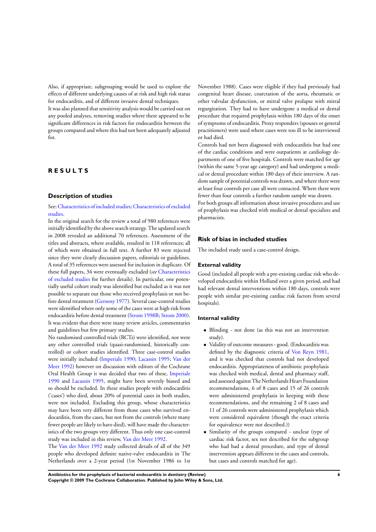Also, if appropriate, subgrouping would be used to explore the effects of different underlying causes of at risk and high risk status for endocarditis, and of different invasive dental techniques.

It was also planned that sensitivity analysis would be carried out on any pooled analyses, removing studies where there appeared to be significant differences in risk factors for endocarditis between the groups compared and where this had not been adequately adjusted for.

# **R E S U L T S**

## **Description of studies**

# See:[Characteristics of included studies;](#page-14-0)[Characteristics of excluded](#page-15-0) [studies.](#page-15-0)

In the original search for the review a total of 980 references were initially identified by the above search strategy. The updated search in 2008 revealed an additional 70 references. Assessment of the titles and abstracts, where available, resulted in 118 references; all of which were obtained in full text. A further 83 were rejected since they were clearly discussion papers, editorials or guidelines. A total of 35 references were assessed for inclusion in duplicate. Of these full papers, 34 were eventually excluded (*see* [Characteristics](#page-15-0) [of excluded studies](#page-15-0) for further details). In particular, one potentially useful cohort study was identified but excluded as it was not possible to separate out those who received prophylaxis or not before dental treatment ([Gersony 1977\)](#page-11-0). Several case-control studies were identified where only some of the cases were at high risk from endocarditis before dental treatment ([Strom 1998B](#page-11-0); [Strom 2000](#page-11-0)). It was evident that there were many review articles, commentaries and guidelines but few primary studies.

No randomised controlled trials (RCTs) were identified, nor were any other controlled trials (quasi-randomised, historically controlled) or cohort studies identified. Three case-control studies were initially included [\(Imperiale 1990;](#page-11-0) [Lacassin 1995](#page-11-0); [Van der](#page-11-0) [Meer 1992\)](#page-11-0) however on discussion with editors of the Cochrane Oral Health Group it was decided that two of these, [Imperiale](#page-11-0) [1990](#page-11-0) and [Lacassin 1995](#page-11-0), might have been severely biased and so should be excluded. In these studies people with endocarditis ('cases') who died, about 20% of potential cases in both studies, were not included. Excluding this group, whose characteristics may have been very different from those cases who survived endocarditis, from the cases, but not from the controls (where many fewer people are likely to have died), will have made the characteristics of the two groups very different. Thus only one case-control study was included in this review, [Van der Meer 1992](#page-11-0).

The [Van der Meer 1992](#page-11-0) study collected details of all of the 349 people who developed definite native-valve endocarditis in The Netherlands over a 2-year period (1st November 1986 to 1st November 1988). Cases were eligible if they had previously had congenital heart disease, coarctation of the aorta, rheumatic or other valvular dysfunction, or mitral valve prolapse with mitral regurgitation. They had to have undergone a medical or dental procedure that required prophylaxis within 180 days of the onset of symptoms of endocarditis. Proxy responders (spouses or general practitioners) were used where cases were too ill to be interviewed or had died.

Controls had not been diagnosed with endocarditis but had one of the cardiac conditions and were outpatients at cardiology departments of one of five hospitals. Controls were matched for age (within the same 5-year age category) and had undergone a medical or dental procedure within 180 days of their interview. A random sample of potential controls was drawn, and where there were at least four controls per case all were contacted. Where there were fewer than four controls a further random sample was drawn.

For both groups all information about invasive procedures and use of prophylaxis was checked with medical or dental specialists and pharmacists.

# **Risk of bias in included studies**

The included study used a case-control design.

### **External validity**

Good (included all people with a pre-existing cardiac risk who developed endocarditis within Holland over a given period, and had had relevant dental interventions within 180 days, controls were people with similar pre-existing cardiac risk factors from several hospitals).

### **Internal validity**

- Blinding not done (as this was not an intervention study).
- Validity of outcome measures good. (Endocarditis was defined by the diagnostic criteria of [Von Reyn 1981](#page-11-0), and it was checked that controls had not developed endocarditis. Appropriateness of antibiotic prophylaxis was checked with medical, dental and pharmacy staff, and assessed against The Netherlands Heart Foundation recommendations, 6 of 8 cases and 15 of 26 controls were administered prophylaxis in keeping with these recommendations, and the remaining 2 of 8 cases and 11 of 26 controls were administered prophylaxis which were considered equivalent (though the exact criteria for equivalence were not described.))
- Similarity of the groups compared unclear (type of cardiac risk factor, sex not described for the subgroup who had had a dental procedure, and type of dental intervention appears different in the cases and controls, but cases and controls matched for age).

**Antibiotics for the prophylaxis of bacterial endocarditis in dentistry (Review) 6 Copyright © 2009 The Cochrane Collaboration. Published by John Wiley & Sons, Ltd.**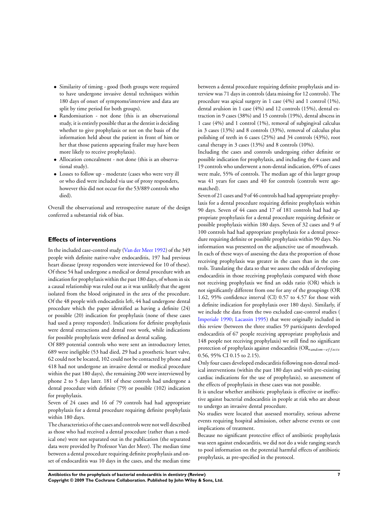- Similarity of timing good (both groups were required to have undergone invasive dental techniques within 180 days of onset of symptoms/interview and data are split by time period for both groups).
- Randomisation not done (this is an observational study, it is entirely possible that as the dentist is deciding whether to give prophylaxis or not on the basis of the information held about the patient in front of him or her that those patients appearing frailer may have been more likely to receive prophylaxis).
- Allocation concealment not done (this is an observational study).
- Losses to follow up moderate (cases who were very ill or who died were included via use of proxy responders, however this did not occur for the 53/889 controls who died).

Overall the observational and retrospective nature of the design conferred a substantial risk of bias.

# **Effects of interventions**

In the included case-control study [\(Van der Meer 1992](#page-11-0)) of the 349 people with definite native-valve endocarditis, 197 had previous heart disease (proxy responders were interviewed for 10 of these). Of these 54 had undergone a medical or dental procedure with an indication for prophylaxis within the past 180 days, of whom in six a causal relationship was ruled out as it was unlikely that the agent isolated from the blood originated in the area of the procedure. Of the 48 people with endocarditis left, 44 had undergone dental procedure which the paper identified as having a definite (24) or possible (20) indication for prophylaxis (none of these cases had used a proxy responder). Indications for definite prophylaxis were dental extractions and dental root work, while indications for possible prophylaxis were defined as dental scaling.

Of 889 potential controls who were sent an introductory letter, 689 were ineligible (53 had died, 29 had a prosthetic heart valve, 62 could not be located, 102 could not be contacted by phone and 418 had not undergone an invasive dental or medical procedure within the past 180 days), the remaining 200 were interviewed by phone 2 to 5 days later. 181 of these controls had undergone a dental procedure with definite (79) or possible (102) indication for prophylaxis.

Seven of 24 cases and 16 of 79 controls had had appropriate prophylaxis for a dental procedure requiring definite prophylaxis within 180 days.

The characteristics of the cases and controls were not well described as those who had received a dental procedure (rather than a medical one) were not separated out in the publication (the separated data were provided by Professor Van der Meer). The median time between a dental procedure requiring definite prophylaxis and onset of endocarditis was 10 days in the cases, and the median time between a dental procedure requiring definite prophylaxis and interview was 71 days in controls (data missing for 12 controls). The procedure was apical surgery in 1 case (4%) and 1 control (1%), dental avulsion in 1 case (4%) and 12 controls (15%), dental extraction in 9 cases (38%) and 15 controls (19%), dental abscess in 1 case (4%) and 1 control (1%), removal of subgingival calculus in 3 cases (13%) and 8 controls (33%), removal of calculus plus polishing of teeth in 6 cases (25%) and 34 controls (43%), root canal therapy in 3 cases (13%) and 8 controls (10%).

Including the cases and controls undergoing either definite or possible indication for prophylaxis, and including the 4 cases and 19 controls who underwent a non-dental indication, 69% of cases were male, 55% of controls. The median age of this larger group was 41 years for cases and 40 for controls (controls were agematched).

Seven of 21 cases and 9 of 46 controls had had appropriate prophylaxis for a dental procedure requiring definite prophylaxis within 90 days. Seven of 44 cases and 17 of 181 controls had had appropriate prophylaxis for a dental procedure requiring definite or possible prophylaxis within 180 days. Seven of 32 cases and 9 of 100 controls had had appropriate prophylaxis for a dental procedure requiring definite or possible prophylaxis within 90 days. No information was presented on the adjunctive use of mouthwash.

In each of these ways of assessing the data the proportion of those receiving prophylaxis was greater in the cases than in the controls. Translating the data so that we assess the odds of developing endocarditis in those receiving prophylaxis compared with those not receiving prophylaxis we find an odds ratio (OR) which is not significantly different from one for any of the groupings (OR 1.62, 95% confidence interval (CI) 0.57 to 4.57 for those with a definite indication for prophylaxis over 180 days). Similarly, if we include the data from the two excluded case-control studies ( [Imperiale 1990;](#page-11-0) [Lacassin 1995](#page-11-0)) that were originally included in this review (between the three studies 59 participants developed endocarditis of 67 people receiving appropriate prophylaxis and 148 people not receiving prophylaxis) we still find no significant protection of prophylaxis against endocarditis (OR<sub>random</sub>-effects 0.56, 95% CI 0.15 to 2.15).

Only four cases developed endocarditis following non-dental medical interventions (within the past 180 days and with pre-existing cardiac indications for the use of prophylaxis), so assessment of the effects of prophylaxis in these cases was not possible.

It is unclear whether antibiotic prophylaxis is effective or ineffective against bacterial endocarditis in people at risk who are about to undergo an invasive dental procedure.

No studies were located that assessed mortality, serious adverse events requiring hospital admission, other adverse events or cost implications of treatment.

Because no significant protective effect of antibiotic prophylaxis was seen against endocarditis, we did not do a wide ranging search to pool information on the potential harmful effects of antibiotic prophylaxis, as pre-specified in the protocol.

**Antibiotics for the prophylaxis of bacterial endocarditis in dentistry (Review) 7 Copyright © 2009 The Cochrane Collaboration. Published by John Wiley & Sons, Ltd.**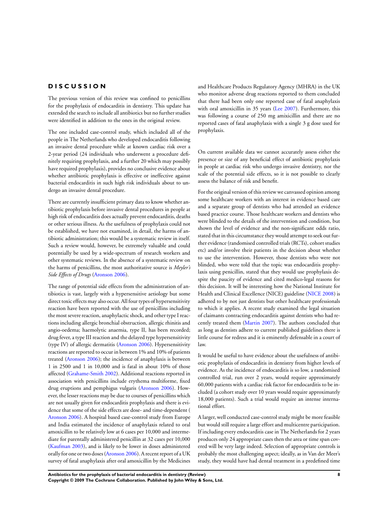# **D I S C U S S I O N**

The previous version of this review was confined to penicillins for the prophylaxis of endocarditis in dentistry. This update has extended the search to include all antibiotics but no further studies were identified in addition to the ones in the original review.

The one included case-control study, which included all of the people in The Netherlands who developed endocarditis following an invasive dental procedure while at known cardiac risk over a 2-year period (24 individuals who underwent a procedure definitely requiring prophylaxis, and a further 20 which may possibly have required prophylaxis), provides no conclusive evidence about whether antibiotic prophylaxis is effective or ineffective against bacterial endocarditis in such high risk individuals about to undergo an invasive dental procedure.

There are currently insufficient primary data to know whether antibiotic prophylaxis before invasive dental procedures in people at high risk of endocarditis does actually prevent endocarditis, deaths or other serious illness. As the usefulness of prophylaxis could not be established, we have not examined, in detail, the harms of antibiotic administration; this would be a systematic review in itself. Such a review would, however, be extremely valuable and could potentially be used by a wide-spectrum of research workers and other systematic reviews. In the absence of a systematic review on the harms of penicillins, the most authoritative source is *Meyler's Side Effects of Drugs* ([Aronson 2006\)](#page-11-0).

The range of potential side effects from the administration of antibiotics is vast, largely with a hypersensitive aetiology but some direct toxic effects may also occur. All four types of hypersensitivity reaction have been reported with the use of penicillins including the most severe reaction, anaphylactic shock, and other type I reactions including allergic bronchial obstruction, allergic rhinitis and angio-oedema; haemolytic anaemia, type II, has been recorded; drug fever, a type III reaction and the delayed type hypersensitivity (type IV) of allergic dermatitis [\(Aronson 2006](#page-11-0)). Hypersensitivity reactions are reported to occur in between 1% and 10% of patients treated [\(Aronson 2006\)](#page-11-0); the incidence of anaphylaxis is between 1 in 2500 and 1 in 10,000 and is fatal in about 10% of those affected [\(Grahame-Smith 2002\)](#page-11-0). Additional reactions reported in association with penicillins include erythema multiforme, fixed drug eruptions and pemphigus vulgaris ([Aronson 2006\)](#page-11-0). However, the lesser reactions may be due to courses of penicillins which are not usually given for endocarditis prophylaxis and there is evidence that some of the side effects are dose- and time-dependent ( [Aronson 2006](#page-11-0)). A hospital based case-control study from Europe and India estimated the incidence of anaphylaxis related to oral amoxicillin to be relatively low at 6 cases per 10,000 and intermediate for parentally administered penicillin at 32 cases per 10,000 [\(Kaufman 2003](#page-11-0)), and is likely to be lower in doses administered orally for one or two doses ([Aronson 2006\)](#page-11-0). A recent report of a UK survey of fatal anaphylaxis after oral amoxicillin by the Medicines and Healthcare Products Regulatory Agency (MHRA) in the UK who monitor adverse drug reactions reported to them concluded that there had been only one reported case of fatal anaphylaxis with oral amoxicillin in 35 years ([Lee 2007](#page-11-0)). Furthermore, this was following a course of 250 mg amixicillin and there are no reported cases of fatal anaphylaxis with a single 3 g dose used for prophylaxis.

On current available data we cannot accurately assess either the presence or size of any beneficial effect of antibiotic prophylaxis in people at cardiac risk who undergo invasive dentistry, nor the scale of the potential side effects, so it is not possible to clearly assess the balance of risk and benefit.

For the original version of this review we canvassed opinion among some healthcare workers with an interest in evidence based care and a separate group of dentists who had attended an evidence based practice course. Those healthcare workers and dentists who were blinded to the details of the intervention and condition, but shown the level of evidence and the non-significant odds ratio, stated that in this circumstance they would attempt to seek out further evidence (randomised controlled trials (RCTs), cohort studies etc) and/or involve their patients in the decision about whether to use the intervention. However, those dentists who were not blinded, who were told that the topic was endocarditis prophylaxis using penicillin, stated that they would use prophylaxis despite the paucity of evidence and cited medico-legal reasons for this decision. It will be interesting how the National Institute for Health and Clinical Excellence (NICE) guideline ([NICE 2008](#page-11-0)) is adhered to by not just dentists but other healthcare professionals to which it applies. A recent study examined the legal situation of claimants contracting endocarditis against dentists who had recently treated them ([Martin 2007](#page-11-0)). The authors concluded that as long as dentists adhere to current published guidelines there is little course for redress and it is eminently defensable in a court of law.

It would be useful to have evidence about the usefulness of antibiotic prophylaxis of endocarditis in dentistry from higher levels of evidence. As the incidence of endocarditis is so low, a randomised controlled trial, run over 2 years, would require approximately 60,000 patients with a cardiac risk factor for endocarditis to be included (a cohort study over 10 years would require approximately 18,000 patients). Such a trial would require an intense international effort.

A larger, well conducted case-control study might be more feasible but would still require a large effort and multicentre participation. If including every endocarditis case in The Netherlands for 2 years produces only 24 appropriate cases then the area or time span covered will be very large indeed. Selection of appropriate controls is probably the most challenging aspect; ideally, as in Van der Meer's study, they would have had dental treatment in a predefined time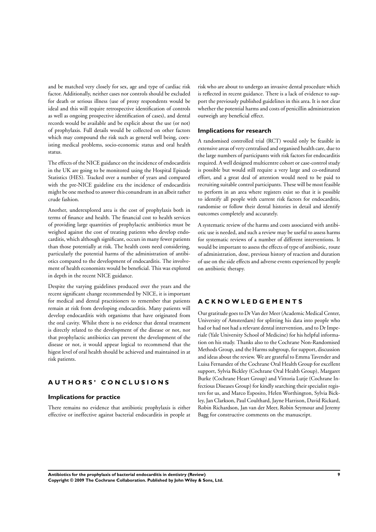and be matched very closely for sex, age and type of cardiac risk factor. Additionally, neither cases nor controls should be excluded for death or serious illness (use of proxy respondents would be ideal and this will require retrospective identification of controls as well as ongoing prospective identification of cases), and dental records would be available and be explicit about the use (or not) of prophylaxis. Full details would be collected on other factors which may compound the risk such as general well being, coexisting medical problems, socio-economic status and oral health status.

The effects of the NICE guidance on the incidence of endocarditis in the UK are going to be monitored using the Hospital Episode Statistics (HES). Tracked over a number of years and compared with the pre-NICE guideline era the incidence of endocarditis might be one method to answer this conundrum in an albeit rather crude fashion.

Another, underexplored area is the cost of prophylaxis both in terms of finance and health. The financial cost to health services of providing large quantities of prophylactic antibiotics must be weighed against the cost of treating patients who develop endocarditis, which although significant, occurs in many fewer patients than those potentially at risk. The health costs need considering, particularly the potential harms of the administration of antibiotics compared to the development of endocarditis. The involvement of health economists would be beneficial. This was explored in depth in the recent NICE guidance.

Despite the varying guidelines produced over the years and the recent significant change recommended by NICE, it is important for medical and dental practitioners to remember that patients remain at risk from developing endocarditis. Many patients will develop endocarditis with organisms that have originated from the oral cavity. Whilst there is no evidence that dental treatment is directly related to the development of the disease or not, nor that prophylactic antibiotics can prevent the development of the disease or not, it would appear logical to recommend that the higest level of oral health should be achieved and maintained in at risk patients.

# **A U T H O R S ' C O N C L U S I O N S**

### **Implications for practice**

There remains no evidence that antibiotic prophylaxis is either effective or ineffective against bacterial endocarditis in people at

risk who are about to undergo an invasive dental procedure which is reflected in recent guidance. There is a lack of evidence to support the previously published guidelines in this area. It is not clear whether the potential harms and costs of penicillin administration outweigh any beneficial effect.

### **Implications for research**

A randomised controlled trial (RCT) would only be feasible in extensive areas of very centralised and organised health care, due to the large numbers of participants with risk factors for endocarditis required. A well designed multicentre cohort or case-control study is possible but would still require a very large and co-ordinated effort, and a great deal of attention would need to be paid to recruiting suitable control participants. These will be most feasible to perform in an area where registers exist so that it is possible to identify all people with current risk factors for endocarditis, randomise or follow their dental histories in detail and identify outcomes completely and accurately.

A systematic review of the harms and costs associated with antibiotic use is needed, and such a review may be useful to assess harms for systematic reviews of a number of different interventions. It would be important to assess the effects of type of antibiotic, route of administration, dose, previous history of reaction and duration of use on the side effects and adverse events experienced by people on antibiotic therapy.

# **A C K N O W L E D G E M E N T S**

Our gratitude goes to Dr Van der Meer (Academic Medical Center, University of Amsterdam) for splitting his data into people who had or had not had a relevant dental intervention, and to Dr Imperiale (Yale University School of Medicine) for his helpful information on his study. Thanks also to the Cochrane Non-Randomised Methods Group, and the Harms subgroup, for support, discussion and ideas about the review. We are grateful to Emma Tavender and Luisa Fernandez of the Cochrane Oral Health Group for excellent support, Sylvia Bickley (Cochrane Oral Health Group), Margaret Burke (Cochrane Heart Group) and Vittoria Lutje (Cochrane Infectious Diseases Group) for kindly searching their specialist registers for us, and Marco Esposito, Helen Worthington, Sylvia Bickley, Jan Clarkson, Paul Coulthard, Jayne Harrison, David Rickard, Robin Richardson, Jan van der Meer, Robin Seymour and Jeremy Bagg for constructive comments on the manuscript.

**Antibiotics for the prophylaxis of bacterial endocarditis in dentistry (Review) 9 Copyright © 2009 The Cochrane Collaboration. Published by John Wiley & Sons, Ltd.**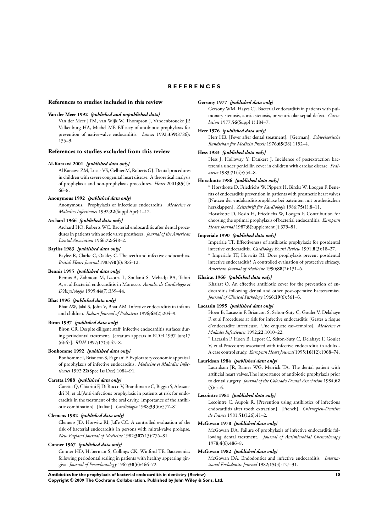# **R E F E R E N C E S**

### <span id="page-11-0"></span>**References to studies included in this review**

### **Van der Meer 1992** *{published and unpublished data}*

Van der Meer JTM, van Wijk W, Thompson J, Vandenbroucke JP, Valkenburg HA, Michel MF. Efficacy of antibiotic prophylaxis for prevention of native-valve endocarditis. *Lancet* 1992;**339**(8786): 135–9.

## **References to studies excluded from this review**

### **Al-Karaawi 2001** *{published data only}*

Al Karaawi ZM, Lucas VS, Gelbier M, Roberts GJ, Dental procedures in children with severe congenital heart disease: A theoretical analysis of prophylaxis and non-prophylaxis procedures. *Heart* 2001;**85**(1): 66–8.

#### **Anonymous 1992** *{published data only}*

Anonymous. Prophylaxis of infectious endocarditis. *Medecine et Maladies Infectieuses* 1992;**22**(Suppl Apr):1–12.

# **Archard 1966** *{published data only}*

Archard HO, Roberts WC. Bacterial endocarditis after dental procedures in patients with aortic valve prostheses. *Journal of the American Dental Association* 1966;**72**:648–2.

# **Bayliss 1983** *{published data only}*

Bayliss R, Clarke C, Oakley C. The teeth and infective endocarditis. *British Heart Journal* 1983;**50**(6):506–12.

# **Bennis 1995** *{published data only}*

Bennis A, Zahraoui M, Izzouzi L, Soulami S, Mehadji BA, Tahiri A, et al.Bacterial endocarditis in Morocco. *Annales de Cardiologie et D'Angeiologie* 1995;**44**(7):339–44.

# **Bhat 1996** *{published data only}*

Bhat AW, Jalal S, John V, Bhat AM. Infective endocarditis in infants and children. *Indian Journal of Pediatrics* 1996;**63**(2):204–9.

### **Biron 1997** *{published data only}*

Biron CR. Despite diligent staff, infective endocarditis surfaces during periodontal treatment. [erratum appears in RDH 1997 Jun;17 (6):67]. *RDH* 1997;**17**(3):42–8.

### **Bonhomme 1992** *{published data only}*

Bonhomme I, Briancon S, Fagnani F. Exploratory economic appraisal of prophylaxis of infective endocarditis. *Medecine et Maladies Infectieuses* 1992;**22**(Spec Iss Dec):1084–91.

# **Caretta 1988** *{published data only}*

Caretta Q, Chiarini F, Di Rocco V, Brandimarte C, Biggio S, Alessandri N, et al.[Anti-infectious prophylaxis in patients at risk for endocarditis in the treatment of the oral cavity. Importance of the antibiotic combination]. [Italian]. *Cardiologia* 1988;**33**(6):577–81.

### **Clemens 1982** *{published data only}*

Clemens JD, Horwitz RI, Jaffe CC. A controlled evaluation of the risk of bacterial endocarditis in persons with mitral-valve prolapse. *New England Journal of Medicine* 1982;**307**(13):776–81.

#### **Conner 1967** *{published data only}*

Conner HD, Haberman S, Collings CK, Winford TE. Bacteremias following periodontal scaling in patients with healthy appearing gingiva. *Journal of Periodontology* 1967;**38**(6):466–72.

### **Gersony 1977** *{published data only}*

Gersony WM, Hayes CJ. Bacterial endocarditis in patients with pulmonary stenosis, aortic stenosis, or ventricular septal defect. *Circulation* 1977;**56**(Suppl 1):I84–7.

### **Herr 1976** *{published data only}*

Herr HB. [Fever after dental treatment]. [German]. *Schweizerische Rundschau fur Medizin Praxis* 1976;**65**(38):1152–4.

### **Hess 1983** *{published data only}*

Hess J, Holloway Y, Dankert J. Incidence of postextraction bacteremia under penicillin cover in children with cardiac disease. *Pediatrics* 1983;**71**(4):554–8.

### **Horstkotte 1986** *{published data only}*

<sup>∗</sup> Horstkotte D, Friedrichs W, Pippert H, Bircks W, Loogen F. Benefits of endocarditis prevention in patients with prosthetic heart valves [Nutzen der endokarditisprophlaxe bei pateinten mit prothetischen herzklappen]. *Zeitschrift fur Kardiologie* 1986;**75**(1):8–11.

Horstkotte D, Rosin H, Friedrichs W, Loogen F. Contribution for choosing the optimal prophylaxis of bacterial endocarditis. *European Heart Journal* 1987;**8**(Supplement J):379–81.

### **Imperiale 1990** *{published data only}*

Imperiale TF. Effectiveness of antibiotic prophylaxis for postdental infective endocarditis. *Cardiology Board Review* 1991;**8**(3):18–27. ∗ Imperiale TF, Horwitz RI. Does prophylaxis prevent postdental infective endocarditis? A controlled evaluation of protective efficacy. *American Journal of Medicine* 1990;**88**(2):131–6.

### **Khairat 1966** *{published data only}*

Khairat O. An effective antibiotic cover for the prevention of endocarditis following dental and other post-operative bacteraemias. *Journal of Clinical Pathology* 1966;**19**(6):561–6.

# **Lacassin 1995** *{published data only}*

Hoen B, Lacassin F, Briancon S, Selton-Suty C, Goulet V, Delahaye F, et al.Procedures at risk for infective endocarditis [Gestes a risque d'endocardite infectieuse. Une enquete cas–temoins]. *Medecine et Malades Infectieuses* 1992;**22**:1010–22.

<sup>∗</sup> Lacassin F, Hoen B, Leport C, Selton-Suty C, Delahaye F, Goulet V, et al.Procedures associated with infective endocarditis in adults - A case control study. *European Heart Journal* 1995;**16**(12):1968–74.

### **Lauridson 1984** *{published data only}*

Lauridson JR, Rainer WG, Merrick TA. The dental patient with artificial heart valves.The importance of antibiotic prophylaxis prior to dental surgery. *Journal of the Colorado Dental Association* 1984;**62**  $(5):5–6.$ 

### **Lecointre 1981** *{published data only}*

Lecointre C, Aupois R. [Prevention using antibiotics of infectious endocarditis after tooth extraction]. [French]. *Chirurgien-Dentiste de France* 1981;**51**(126):41–2.

### **McGowan 1978** *{published data only}*

McGowan DA. Failure of prophylaxis of infective endocarditis following dental treatment. *Journal of Antimicrobial Chemotherapy* 1978;**4**(6):486–8.

# **McGowan 1982** *{published data only}*

McGowan DA. Endodontics and infective endocarditis. *International Endodontic Journal* 1982;**15**(3):127–31.

**Antibiotics for the prophylaxis of bacterial endocarditis in dentistry (Review) 10**

**Copyright © 2009 The Cochrane Collaboration. Published by John Wiley & Sons, Ltd.**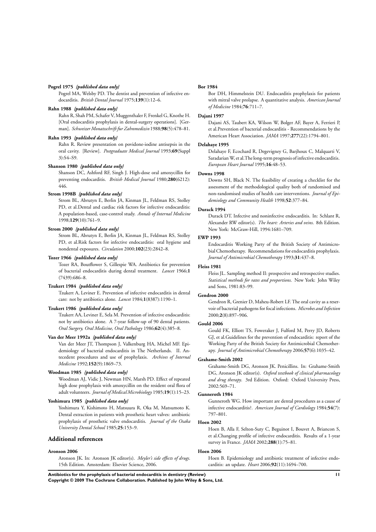### **Pogrel 1975** *{published data only}*

Pogrel MA, Welsby PD. The dentist and prevention of infective endocarditis. *British Dental Journal* 1975;**139**(1):12–6.

### **Rahn 1988** *{published data only}*

Rahn R, Shah PM, Schafer V, Muggenthaler F, Frenkel G, Knothe H. [Oral endocarditis prophylaxis in dental-surgery operations]. [German]. *Schweizer Monatsschrift fur Zahnmedizin* 1988;**98**(5):478–81.

#### **Rahn 1993** *{published data only}*

Rahn R. Review presentation on povidone-iodine antisepsis in the oral cavity. [Review]. *Postgraduate Medical Journal* 1993;**69**(Suppl 3):S4–S9.

#### **Shanson 1980** *{published data only}*

Shanson DC, Ashford RF, Singh J. High-dose oral amoxycillin for preventing endocarditis. *British Medical Journal* 1980;**280**(6212): 446.

# **Strom 1998B** *{published data only}*

Strom BL, Abrutyn E, Berlin JA, Kinman JL, Feldman RS, Stolley PD, et al.Dental and cardiac risk factors for infective endocarditis: A population-based, case-control study. *Annals of Internal Medicine* 1998;**129**(10):761–9.

### **Strom 2000** *{published data only}*

Strom BL, Abrutyn E, Berlin JA, Kinman JL, Feldman RS, Stolley PD, et al.Risk factors for infective endocarditis: oral hygiene and nondental exposures. *Circulation* 2000;**102**(23):2842–8.

### **Tozer 1966** *{published data only}*

Tozer RA, Boutflower S, Gillespie WA. Antibiotics for prevention of bacterial endocarditis during dental treatment. *Lancet* 1966;**1** (7439):686–8.

# **Tzukert 1984** *{published data only}*

Tzukert A, Leviner E. Prevention of infective endocarditis in dental care: not by antibiotics alone. *Lancet* 1984;**1**(8387):1190–1.

# **Tzukert 1986** *{published data only}*

Tzukert AA, Leviner E, Sela M. Prevention of infective endocarditis: not by antibiotics alone. A 7-year follow-up of 90 dental patients. *Oral Surgery, Oral Medicine, Oral Pathology* 1986;**62**(4):385–8.

### **Van der Meer 1992a** *{published data only}*

Van der Meer JT, Thompson J, Valkenburg HA, Michel MF. Epidemiology of bacterial endocarditis in The Netherlands. II. Antecedent procedures and use of prophylaxis. *Archives of Internal Medicine* 1992;**152**(9):1869–73.

### **Woodman 1985** *{published data only}*

Woodman AJ, Vidic J, Newman HN, Marsh PD. Effect of repeated high dose prophylaxis with amoxycillin on the resident oral flora of adult volunteers. *Journal of Medical Microbiology* 1985;**19**(1):15–23.

### **Yoshimura 1985** *{published data only}*

Yoshimura Y, Kishimoto H, Matsuura R, Oka M, Matsumoto K. Dental extraction in patients with prosthetic heart valves: antibiotic prophylaxis of prosthetic valve endocarditis. *Journal of the Osaka University Dental School* 1985;**25**:153–9.

### **Additional references**

### **Aronson 2006**

Aronson JK. In: Aronson JK editor(s). *Meyler's side effects of drugs*. 15th Edition. Amsterdam: Elsevier Science, 2006.

### **Bor 1984**

Bor DH, Himmelstein DU. Endocarditis prophylaxis for patients with mitral valve prolapse. A quantitative analysis. *American Journal of Medicine* 1984;**76**:711–7.

### **Dajani 1997**

Dajani AS, Taubert KA, Wilson W, Bolger AF, Bayer A, Ferrieri P, et al.Prevention of bacterial endocarditis - Recommendations by the American Heart Association. *JAMA* 1997;**277**(22):1794–801.

#### **Delahaye 1995**

Delahaye F, Ecochard R, Degevigney G, Barjhoux C, Malquarti V, SaradarianW, et al.The long-term prognosis of infective endocarditis. *European Heart Journal* 1995;**16**:48–53.

#### **Downs 1998**

Downs SH, Black N. The feasibility of creating a checklist for the assessment of the methodological quality both of randomised and non-randomised studies of health care interventions. *Journal of Epidemiology and Community Health* 1998;**52**:377–84.

### **Durack 1994**

Durack DT. Infective and noninfective endocarditis. In: Schlant R, Alexander RW editor(s). *The heart: Arteries and veins*. 8th Edition. New York: McGraw-Hill, 1994:1681–709.

#### **EWP 1993**

Endocarditis Working Party of the British Society of Antimicrobial Chemotherapy. Recommendations for endocarditis prophylaxis. *Journal of Antimicrobial Chemotherapy* 1993;**31**:437–8.

### **Fleiss 1981**

Fleiss JL. Sampling method II: prospective and retrospective studies. *Statistical methods for rates and proportions*. New York: John Wiley and Sons, 1981:83–99.

### **Gendron 2000**

Gendron R, Grenier D, Maheu-Robert LF. The oral cavity as a reservoir of bacterial pathogens for focal infections. *Microbes and Infection* 2000;**2**(8):897–906.

### **Gould 2006**

Gould FK, Elliott TS, Foweraker J, Fulford M, Perry JD, Roberts GJ, et al.Guidelines for the prevention of endocarditis: report of the Working Party of the British Society for Antimicrobial Chemotherapy. *Journal of Antimicrobial Chemotherapy* 2006;**57**(6):1035–42.

### **Grahame-Smith 2002**

Grahame-Smith DG, Aronson JK. Penicillins. In: Grahame-Smith DG, Aronson JK editor(s). *Oxford textbook of clinical pharmacology and drug therapy*. 3rd Edition. Oxford: Oxford University Press, 2002:569–71.

### **Gunneroth 1984**

Gunneroth WG. How important are dental procedures as a cause of infective endocarditis?. *American Journal of Cardiology* 1984;**54**(7): 797–801.

### **Hoen 2002**

Hoen B, Alla F, Selton-Suty C, Beguinot I, Bouvet A, Briancon S, et al.Changing profile of infective endocarditis. Results of a 1-year survey in France. *JAMA* 2002;**288**(1):75–81.

#### **Hoen 2006**

Hoen B. Epidemiology and antibiotic treatment of infective endocarditis: an update. *Heart* 2006;**92**(11):1694–700.

**Antibiotics for the prophylaxis of bacterial endocarditis in dentistry (Review) 11**

**Copyright © 2009 The Cochrane Collaboration. Published by John Wiley & Sons, Ltd.**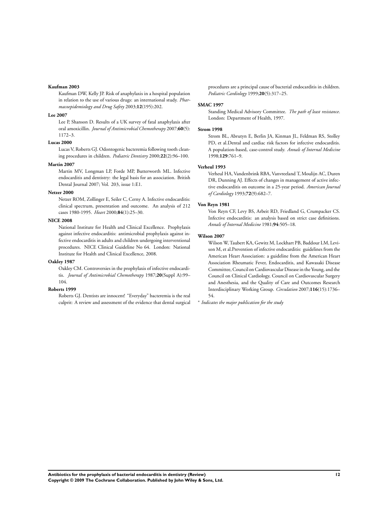### **Kaufman 2003**

Kaufman DW, Kelly JP. Risk of anaphylaxis in a hospital population in relation to the use of various drugs: an international study. *Pharmacoepidemiology and Drug Safety* 2003;**12**(195):202.

### **Lee 2007**

Lee P, Shanson D. Results of a UK survey of fatal anaphylaxis after oral amoxicillin. *Journal of Antimicrobial Chemotherapy* 2007;**60**(5): 1172–3.

#### **Lucas 2000**

Lucas V, Roberts GJ. Odontogenic bacteremia following tooth cleaning procedures in children. *Pediatric Dentistry* 2000;**22**(2):96–100.

### **Martin 2007**

Martin MV, Longman LP, Forde MP, Butterworth ML. Infective endocarditis and dentistry: the legal basis for an association. British Dental Journal 2007; Vol. 203, issue 1:E1.

# **Netzer 2000**

Netzer ROM, Zollinger E, Seiler C, Cerny A. Infective endocarditis: clinical spectrum, presentation and outcome. An analysis of 212 cases 1980-1995. *Heart* 2000;**84**(1):25–30.

# **NICE 2008**

National Institute for Health and Clinical Excellence. Prophylaxis against infective endocarditis: antimicrobial prophylaxis against infective endocarditis in adults and children undergoing interventional procedures. NICE Clinical Guideline No 64. London: National Institute for Health and Clinical Excellence, 2008.

#### **Oakley 1987**

Oakley CM. Controversies in the prophylaxis of infective endocarditis. *Journal of Antimicrobial Chemotherapy* 1987;**20**(Suppl A):99– 104.

### **Roberts 1999**

Roberts GJ. Dentists are innocent! "Everyday" bacteremia is the real culprit: A review and assessment of the evidence that dental surgical procedures are a principal cause of bacterial endocarditis in children. *Pediatric Cardiology* 1999;**20**(5):317–25.

#### **SMAC 1997**

Standing Medical Advisory Committee. *The path of least resistance*. London: Department of Health, 1997.

### **Strom 1998**

Strom BL, Abrutyn E, Berlin JA, Kinman JL, Feldman RS, Stolley PD, et al.Dental and cardiac risk factors for infective endocarditis. A population-based, case-control study. *Annals of Internal Medicine* 1998;**129**:761–9.

### **Verheul 1993**

Verheul HA, Vandenbrink RBA, Vanvreeland T, Moulijn AC, Duren DR, Dunning AJ. Effects of changes in management of active infective endocarditis on outcome in a 25-year period. *American Journal of Cardiology* 1993;**72**(9):682–7.

### **Von Reyn 1981**

Von Reyn CF, Levy BS, Arbeit RD, Friedland G, Crumpacker CS. Infective endocarditis: an analysis based on strict case definitions. *Annals of Internal Medicine* 1981;**94**:505–18.

#### **Wilson 2007**

Wilson W, Taubert KA, Gewitz M, Lockhart PB, Baddour LM, Levison M, et al.Prevention of infective endocarditis: guidelines from the American Heart Association: a guideline from the American Heart Association Rheumatic Fever, Endocarditis, and Kawasaki Disease Committee, Council on Cardiovascular Disease in the Young, and the Council on Clinical Cardiology, Council on Cardiovascular Surgery and Anesthesia, and the Quality of Care and Outcomes Research Interdisciplinary Working Group. *Circulation* 2007;**116**(15):1736– 54.

∗ *Indicates the major publication for the study*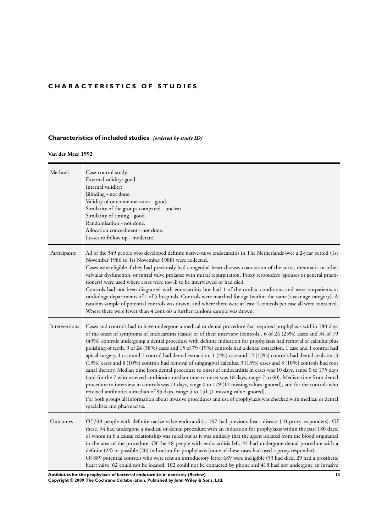# <span id="page-14-0"></span>**CHARACTERISTICS OF STUDIES**

# **Characteristics of included studies** *[ordered by study ID]*

# **Van der Meer 1992**

| Methods       | Case-control study.<br>External validity: good.<br>Internal validity:<br>Blinding - not done.<br>Validity of outcome measures - good.<br>Similarity of the groups compared - unclear.<br>Similarity of timing - good.<br>Randomisation - not done.<br>Allocation concealment - not done.<br>Losses to follow up - moderate.                                                                                                                                                                                                                                                                                                                                                                                                                                                                                                                                                                                                                                                                                                                                                                                                                                                                                                                                                                                                                           |
|---------------|-------------------------------------------------------------------------------------------------------------------------------------------------------------------------------------------------------------------------------------------------------------------------------------------------------------------------------------------------------------------------------------------------------------------------------------------------------------------------------------------------------------------------------------------------------------------------------------------------------------------------------------------------------------------------------------------------------------------------------------------------------------------------------------------------------------------------------------------------------------------------------------------------------------------------------------------------------------------------------------------------------------------------------------------------------------------------------------------------------------------------------------------------------------------------------------------------------------------------------------------------------------------------------------------------------------------------------------------------------|
| Participants  | All of the 349 people who developed definite native-valve endocarditis in The Netherlands over a 2-year period (1st<br>November 1986 to 1st November 1988) were collected.<br>Cases were eligible if they had previously had congenital heart disease, coarctation of the aorta, rheumatic or other<br>valvular dysfunction, or mitral valve prolapse with mitral regurgitation. Proxy responders (spouses or general practi-<br>tioners) were used where cases were too ill to be interviewed or had died.<br>Controls had not been diagnosed with endocarditis but had 1 of the cardiac conditions and were outpatients at<br>cardiology departments of 1 of 5 hospitals. Controls were matched for age (within the same 5-year age category). A<br>random sample of potential controls was drawn, and where there were at least 4 controls per case all were contacted.<br>Where there were fewer than 4 controls a further random sample was drawn.                                                                                                                                                                                                                                                                                                                                                                                               |
| Interventions | Cases and controls had to have undergone a medical or dental procedure that required prophylaxis within 180 days<br>of the onset of symptoms of endocarditis (cases) or of their interview (controls). 6 of 24 (25%) cases and 34 of 79<br>(43%) controls undergoing a dental procedure with definite indication for prophylaxis had removal of calculus plus<br>polishing of teeth, 9 of 24 (38%) cases and 15 of 79 (19%) controls had a dental extraction, 1 case and 1 control had<br>apical surgery, 1 case and 1 control had dental extraction, 1 (4%) case and 12 (15%) controls had dental avulsion, 3<br>(13%) cases and 8 (10%) controls had removal of subgingival calculus, 3 (13%) cases and 8 (10%) controls had root<br>canal therapy. Median time from dental procedure to onset of endocarditis in cases was 10 days, range 0 to 175 days<br>(and for the 7 who received antibiotics median time to onset was 18 days, range 7 to 60). Median time from dental<br>procedure to interview in controls was 71 days, range 0 to 179 (12 missing values ignored), and for the controls who<br>received antibiotics a median of 83 days, range 5 to 151 (1 missing value ignored).<br>For both groups all information about invasive procedures and use of prophylaxis was checked with medical or dental<br>specialists and pharmacists. |
| Outcomes      | Of 349 people with definite native-valve endocarditis, 197 had previous heart disease (10 proxy responders). Of<br>these, 54 had undergone a medical or dental procedure with an indication for prophylaxis within the past 180 days,<br>of whom in 6 a causal relationship was ruled out as it was unlikely that the agent isolated from the blood originated<br>in the area of the procedure. Of the 48 people with endocarditis left, 44 had undergone dental procedure with a<br>definite (24) or possible (20) indication for prophylaxis (none of these cases had used a proxy responder).<br>Of 889 potential controls who were sent an introductory letter 689 were ineligible (53 had died, 29 had a prosthetic<br>heart valve, 62 could not be located, 102 could not be contacted by phone and 418 had not undergone an invasive                                                                                                                                                                                                                                                                                                                                                                                                                                                                                                           |

**Antibiotics for the prophylaxis of bacterial endocarditis in dentistry (Review) 13 Copyright © 2009 The Cochrane Collaboration. Published by John Wiley & Sons, Ltd.**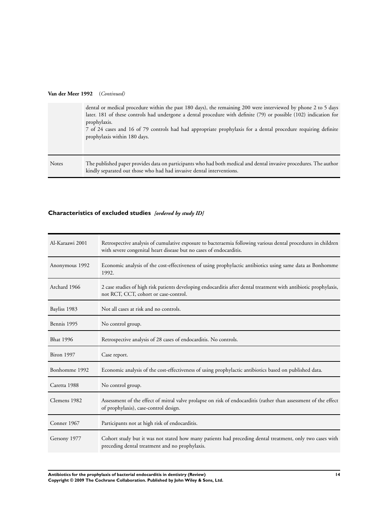# <span id="page-15-0"></span>**Van der Meer 1992** (*Continued)*

|              | dental or medical procedure within the past 180 days), the remaining 200 were interviewed by phone 2 to 5 days<br>later. 181 of these controls had undergone a dental procedure with definite (79) or possible (102) indication for<br>prophylaxis.<br>7 of 24 cases and 16 of 79 controls had had appropriate prophylaxis for a dental procedure requiring definite<br>prophylaxis within 180 days. |
|--------------|------------------------------------------------------------------------------------------------------------------------------------------------------------------------------------------------------------------------------------------------------------------------------------------------------------------------------------------------------------------------------------------------------|
| <b>Notes</b> | The published paper provides data on participants who had both medical and dental invasive procedures. The author<br>kindly separated out those who had had invasive dental interventions.                                                                                                                                                                                                           |

# **Characteristics of excluded studies** *[ordered by study ID]*

| Al-Karaawi 2001  | Retrospective analysis of cumulative exposure to bacteraemia following various dental procedures in children<br>with severe congenital heart disease but no cases of endocarditis. |  |
|------------------|------------------------------------------------------------------------------------------------------------------------------------------------------------------------------------|--|
| Anonymous 1992   | Economic analysis of the cost-effectiveness of using prophylactic antibiotics using same data as Bonhomme<br>1992.                                                                 |  |
| Archard 1966     | 2 case studies of high risk patients developing endocarditis after dental treatment with antibiotic prophylaxis,<br>not RCT, CCT, cohort or case-control.                          |  |
| Bayliss 1983     | Not all cases at risk and no controls.                                                                                                                                             |  |
| Bennis 1995      | No control group.                                                                                                                                                                  |  |
| <b>Bhat 1996</b> | Retrospective analysis of 28 cases of endocarditis. No controls.                                                                                                                   |  |
|                  |                                                                                                                                                                                    |  |
| Biron 1997       | Case report.                                                                                                                                                                       |  |
| Bonhomme 1992    | Economic analysis of the cost-effectiveness of using prophylactic antibiotics based on published data.                                                                             |  |
| Caretta 1988     | No control group.                                                                                                                                                                  |  |
| Clemens 1982     | Assessment of the effect of mitral valve prolapse on risk of endocarditis (rather than assessment of the effect<br>of prophylaxis), case-control design.                           |  |
| Conner 1967      | Participants not at high risk of endocarditis.                                                                                                                                     |  |

**Antibiotics for the prophylaxis of bacterial endocarditis in dentistry (Review) 14 Copyright © 2009 The Cochrane Collaboration. Published by John Wiley & Sons, Ltd.**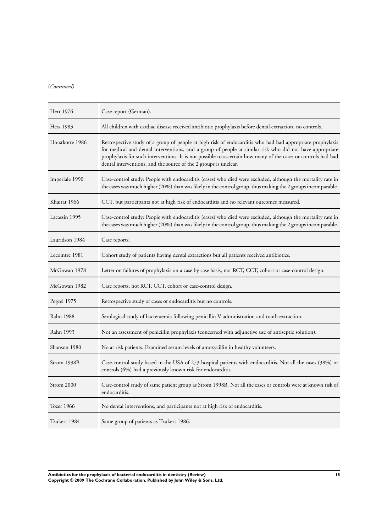# (*Continued)*

| Herr 1976         | Case report (German).                                                                                                                                                                                                                                                                                                                                                                                      |  |  |
|-------------------|------------------------------------------------------------------------------------------------------------------------------------------------------------------------------------------------------------------------------------------------------------------------------------------------------------------------------------------------------------------------------------------------------------|--|--|
| Hess 1983         | All children with cardiac disease received antibiotic prophylaxis before dental extraction, no controls.                                                                                                                                                                                                                                                                                                   |  |  |
| Horstkotte 1986   | Retrospective study of a group of people at high risk of endocarditis who had had appropriate prophylaxis<br>for medical and dental interventions, and a group of people at similar risk who did not have appropriate<br>prophylaxis for such interventions. It is not possible to ascertain how many of the cases or controls had had<br>dental interventions, and the source of the 2 groups is unclear. |  |  |
| Imperiale 1990    | Case-control study: People with endocarditis (cases) who died were excluded, although the mortality rate in<br>the cases was much higher (20%) than was likely in the control group, thus making the 2 groups incomparable.                                                                                                                                                                                |  |  |
| Khairat 1966      | CCT, but participants not at high risk of endocarditis and no relevant outcomes measured.                                                                                                                                                                                                                                                                                                                  |  |  |
| Lacassin 1995     | Case-control study: People with endocarditis (cases) who died were excluded, although the mortality rate in<br>the cases was much higher (20%) than was likely in the control group, thus making the 2 groups incomparable.                                                                                                                                                                                |  |  |
| Lauridson 1984    | Case reports.                                                                                                                                                                                                                                                                                                                                                                                              |  |  |
| Lecointre 1981    | Cohort study of patients having dental extractions but all patients received antibiotics.                                                                                                                                                                                                                                                                                                                  |  |  |
| McGowan 1978      | Letter on failures of prophylaxis on a case by case basis, not RCT, CCT, cohort or case-control design.                                                                                                                                                                                                                                                                                                    |  |  |
| McGowan 1982      | Case reports, not RCT, CCT, cohort or case-control design.                                                                                                                                                                                                                                                                                                                                                 |  |  |
| Pogrel 1975       | Retrospective study of cases of endocarditis but no controls.                                                                                                                                                                                                                                                                                                                                              |  |  |
| Rahn 1988         | Serological study of bacteraemia following penicillin V administration and tooth extraction.                                                                                                                                                                                                                                                                                                               |  |  |
| Rahn 1993         | Not an assessment of penicillin prophylaxis (concerned with adjunctive use of antiseptic solution).                                                                                                                                                                                                                                                                                                        |  |  |
| Shanson 1980      | No at risk patients. Examined serum levels of amoxycillin in healthy volunteers.                                                                                                                                                                                                                                                                                                                           |  |  |
| Strom 1998B       | Case-control study based in the USA of 273 hospital patients with endocarditis. Not all the cases (38%) or<br>controls (6%) had a previously known risk for endocarditis.                                                                                                                                                                                                                                  |  |  |
| Strom 2000        | Case-control study of same patient group as Strom 1998B. Not all the cases or controls were at known risk of<br>endocarditis.                                                                                                                                                                                                                                                                              |  |  |
| <b>Tozer 1966</b> | No dental interventions, and participants not at high risk of endocarditis.                                                                                                                                                                                                                                                                                                                                |  |  |
| Tzukert 1984      | Same group of patients as Tzukert 1986.                                                                                                                                                                                                                                                                                                                                                                    |  |  |

**Antibiotics for the prophylaxis of bacterial endocarditis in dentistry (Review) 15 Copyright © 2009 The Cochrane Collaboration. Published by John Wiley & Sons, Ltd.**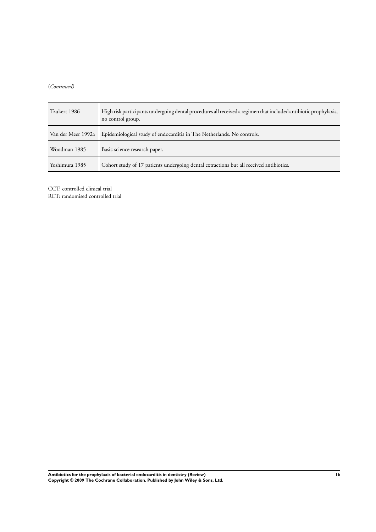# (*Continued)*

| Tzukert 1986       | High risk participants undergoing dental procedures all received a regimen that included antibiotic prophylaxis,<br>no control group. |
|--------------------|---------------------------------------------------------------------------------------------------------------------------------------|
| Van der Meer 1992a | Epidemiological study of endocarditis in The Netherlands. No controls.                                                                |
| Woodman 1985       | Basic science research paper.                                                                                                         |
| Yoshimura 1985     | Cohort study of 17 patients undergoing dental extractions but all received antibiotics.                                               |

CCT: controlled clinical trial RCT: randomised controlled trial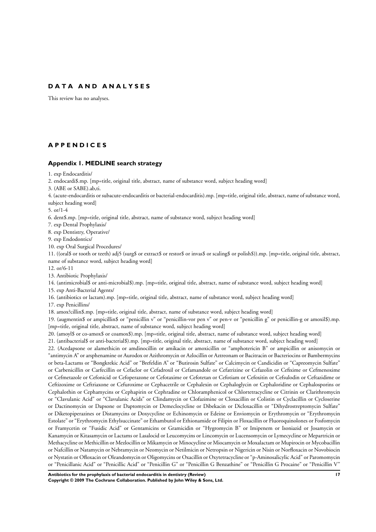# <span id="page-18-0"></span>**D A T A A N D A N A L Y S E S**

This review has no analyses.

# **A P P E N D I C E S**

# **Appendix 1. MEDLINE search strategy**

1. exp Endocarditis/

2. endocardi\$.mp. [mp=title, original title, abstract, name of substance word, subject heading word]

3. (ABE or SABE).ab,ti.

4. (acute-endocarditis or subacute-endocarditis or bacterial-endocarditis).mp. [mp=title, original title, abstract, name of substance word,

subject heading word]

5. or/1-4

6. dent\$.mp. [mp=title, original title, abstract, name of substance word, subject heading word]

7. exp Dental Prophylaxis/

8. exp Dentistry, Operative/

9. exp Endodontics/

10. exp Oral Surgical Procedures/

11. ((oral\$ or tooth or teeth) adj5 (surg\$ or extract\$ or restor\$ or invas\$ or scaling\$ or polish\$)).mp. [mp=title, original title, abstract, name of substance word, subject heading word]

12. or/6-11

13. Antibiotic Prophylaxis/

14. (antimicrobial\$ or anti-microbial\$).mp. [mp=title, original title, abstract, name of substance word, subject heading word]

15. exp Anti-Bacterial Agents/

16. (antibiotics or lactam).mp. [mp=title, original title, abstract, name of substance word, subject heading word]

17. exp Penicillins/

18. amox?cillin\$.mp. [mp=title, original title, abstract, name of substance word, subject heading word]

19. (augmentin\$ or ampicillin\$ or "penicillin v" or "penicillin-vor pen v" or pen-v or "penicillin g" or penicillin-g or amoxil\$).mp. [mp=title, original title, abstract, name of substance word, subject heading word]

20. (amoyl\$ or co-amox\$ or coamox\$).mp. [mp=title, original title, abstract, name of substance word, subject heading word]

21. (antibacterial\$ or anti-bacterial\$).mp. [mp=title, original title, abstract, name of substance word, subject heading word]

22. (Acedapsone or alamethicin or amdinocillin or amikacin or amoxicillin or "amphotericin B" or ampicillin or anisomycin or "antimycin A" or arsphenamine or Aurodox or Azithromycin or Azlocillin or Aztreonam or Bacitracin or Bacteriocins or Bambermycins or beta-Lactams or "Bongkrekic Acid" or "Brefeldin A" or "Butirosin Sulfate" or Calcimycin or Candicidin or "Capreomycin Sulfate" or Carbenicillin or Carfecillin or Cefaclor or Cefadroxil or Cefamandole or Cefatrizine or Cefazolin or Cefixime or Cefmenoxime or Cefmetazole or Cefonicid or Cefoperazone or Cefotaxime or Cefotetan or Cefotiam or Cefoxitin or Cefsulodin or Ceftazidime or Ceftizoxime or Ceftriaxone or Cefuroxime or Cephacetrile or Cephalexin or Cephaloglycin or Cephaloridine or Cephalosporins or Cephalothin or Cephamycins or Cephapirin or Cephradine or Chloramphenicol or Chlortetracycline or Citrinin or Clarithromycin or "Clavulanic Acid" or "Clavulanic Acids" or Clindamycin or Clofazimine or Cloxacillin or Colistin or Cyclacillin or Cycloserine or Dactinomycin or Dapsone or Daptomycin or Demeclocycline or Dibekacin or Dicloxacillin or "Dihydrostreptomycin Sulfate" or Diketopiperazines or Distamycins or Doxycycline or Echinomycin or Edeine or Enviomycin or Erythromycin or "Erythromycin Estolate" or "Erythromycin Ethylsuccinate" or Ethambutol or Ethionamide or Filipin or Floxacillin or Fluoroquinolones or Fosfomycin or Framycetin or "Fusidic Acid" or Gentamicins or Gramicidin or "Hygromycin B" or Imipenem or Isoniazid or Josamycin or Kanamycin or Kitasamycin or Lactams or Lasalocid or Leucomycins or Lincomycin or Lucensomycin or Lymecycline or Mepartricin or Methacycline or Methicillin or Mezlocillin or Mikamycin or Minocycline or Miocamycin or Moxalactam or Mupirocin or Mycobacillin or Nafcillin or Natamycin or Nebramycin or Neomycin or Netilmicin or Netropsin or Nigericin or Nisin or Norfloxacin or Novobiocin or Nystatin or Ofloxacin or Oleandomycin or Oligomycins or Oxacillin or Oxytetracycline or "p-Aminosalicylic Acid" or Paromomycin or "Penicillanic Acid" or "Penicillic Acid" or "Penicillin G" or "Penicillin G Benzathine" or "Penicillin G Procaine" or "Penicillin V"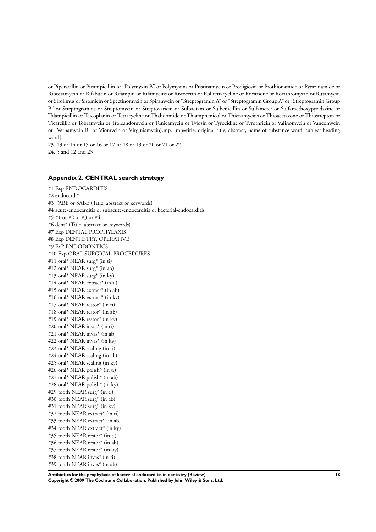<span id="page-19-0"></span>or Piperacillin or Pivampicillin or "Polymyxin B" or Polymyxins or Pristinamycin or Prodigiosin or Prothionamide or Pyrazinamide or Ribostamycin or Rifabutin or Rifampin or Rifamycins or Ristocetin or Rolitetracycline or Roxarsone or Roxithromycin or Rutamycin or Sirolimus or Sisomicin or Spectinomycin or Spiramycin or "Streptogramin A" or "Streptogramin Group A" or "Streptogramin Group B" or Streptogramins or Streptomycin or Streptovaricin or Sulbactam or Sulbenicillin or Sulfameter or Sulfamethoxypyridazine or Talampicillin or Teicoplanin or Tetracycline or Thalidomide or Thiamphenicol or Thienamycins or Thioacetazone or Thiostrepton or Ticarcillin or Tobramycin or Troleandomycin or Tunicamycin or Tylosin or Tyrocidine or Tyrothricin or Valinomycin or Vancomycin or "Vernamycin B" or Viomycin or Virginiamycin).mp. [mp=title, original title, abstract, name of substance word, subject heading word]

23. 13 or 14 or 15 or 16 or 17 or 18 or 19 or 20 or 21 or 22 24. 5 and 12 and 23

# **Appendix 2. CENTRAL search strategy**

#1 Exp ENDOCARDITIS #2 endocardi\* #3 "ABE or SABE (Title, abstract or keywords) #4 acute-endocarditis or subacute-endocarditis or bacterial-endocarditis #5 #1 or #2 or #3 or #4 #6 dent\* (Title, abstract or keywords) #7 Exp DENTAL PROPHYLAXIS #8 Exp DENTISTRY, OPERATIVE #9 ExP ENDODONTICS #10 Exp ORAL SURGICAL PROCEDURES #11 oral\* NEAR surg\* (in ti) #12 oral\* NEAR surg\* (in ab) #13 oral\* NEAR surg\* (in ky) #14 oral\* NEAR extract\* (in ti) #15 oral\* NEAR extract\* (in ab) #16 oral\* NEAR extract\* (in ky) #17 oral\* NEAR restor\* (in ti) #18 oral\* NEAR restor\* (in ab) #19 oral\* NEAR restor\* (in ky) #20 oral\* NEAR invas\* (in ti) #21 oral\* NEAR invas\* (in ab) #22 oral\* NEAR invas\* (in ky) #23 oral\* NEAR scaling (in ti) #24 oral\* NEAR scaling (in ab) #25 oral\* NEAR scaling (in ky) #26 oral\* NEAR polish\* (in ti) #27 oral\* NEAR polish\* (in ab) #28 oral\* NEAR polish\* (in ky) #29 tooth NEAR surg\* (in ti) #30 tooth NEAR surg\* (in ab) #31 tooth NEAR surg\* (in ky) #32 tooth NEAR extract\* (in ti) #33 tooth NEAR extract\* (in ab) #34 tooth NEAR extract\* (in ky) #35 tooth NEAR restor\* (in ti) #36 tooth NEAR restor\* (in ab) #37 tooth NEAR restor\* (in ky) #38 tooth NEAR invas\* (in ti) #39 tooth NEAR invas\* (in ab)

**Antibiotics for the prophylaxis of bacterial endocarditis in dentistry (Review) 18 Copyright © 2009 The Cochrane Collaboration. Published by John Wiley & Sons, Ltd.**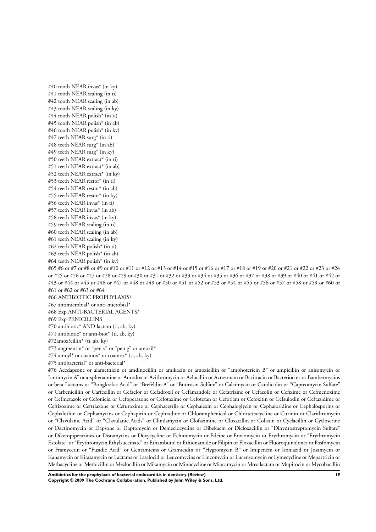#41 tooth NEAR scaling (in ti) #42 tooth NEAR scaling (in ab) #43 tooth NEAR scaling (in ky) #44 tooth NEAR polish\* (in ti) #45 tooth NEAR polish\* (in ab) #46 tooth NEAR polish\* (in ky) #47 teeth NEAR surg\* (in ti) #48 teeth NEAR surg\* (in ab) #49 teeth NEAR surg\* (in ky) #50 teeth NEAR extract\* (in ti) #51 teeth NEAR extract\* (in ab) #52 teeth NEAR extract\* (in ky) #53 teeth NEAR restor\* (in ti) #54 teeth NEAR restor\* (in ab) #55 teeth NEAR restor\* (in ky) #56 teeth NEAR invas\* (in ti) #57 teeth NEAR invas\* (in ab) #58 teeth NEAR invas\* (in ky) #59 teeth NEAR scaling (in ti) #60 teeth NEAR scaling (in ab) #61 teeth NEAR scaling (in ky) #62 teeth NEAR polish\* (in ti) #63 teeth NEAR polish\* (in ab) #64 teeth NEAR polish\* (in ky)

#40 tooth NEAR invas\* (in ky)

#65 #6 or #7 or #8 or #9 or #10 or #11 or #12 or #13 or #14 or #15 or #16 or #17 or #18 or #19 or #20 or #21 or #22 or #23 or #24 or #25 or #26 or #27 or #28 or #29 or #30 or #31 or #32 or #33 or #34 or #35 or #36 or #37 or #38 or #39 or #40 or #41 or #42 or #43 or #44 or #45 or #46 or #47 or #48 or #49 or #50 or #51 or #52 or #53 or #54 or #55 or #56 or #57 or #58 or #59 or #60 or #61 or #62 or #63 or #64

#66 ANTIBIOTIC PROPHYLAXIS/

#67 antimicrobial\* or anti-microbial\*

#68 Exp ANTI-BACTERIAL AGENTS/

#69 Exp PENICILLINS

#70 antibiotic\* AND lactam (ti, ab, ky)

#71 antibiotic\* or anti-biot\* (ti, ab, ky)

#72amox?cillin\* (ti, ab, ky)

#73 augmentin\* or "pen v" or "pen g" or amoxil\*

#74 amoyl\* or coamox\* or coamox\* (ti, ab, ky)

#75 antibacterial\* or anti-bacterial\*

#76 Acedapsone or alamethicin or amdinocillin or amikacin or amoxicillin or "amphotericin B" or ampicillin or anisomycin or "antimycin A" or arsphenamine or Aurodox or Azithromycin or Azlocillin or Aztreonam or Bacitracin or Bacteriocins or Bambermycins or beta-Lactams or "Bongkrekic Acid" or "Brefeldin A" or "Butirosin Sulfate" or Calcimycin or Candicidin or "Capreomycin Sulfate" or Carbenicillin or Carfecillin or Cefaclor or Cefadroxil or Cefamandole or Cefatrizine or Cefazolin or Cefixime or Cefmenoxime or Cefmetazole or Cefonicid or Cefoperazone or Cefotaxime or Cefotetan or Cefotiam or Cefoxitin or Cefsulodin or Ceftazidime or Ceftizoxime or Ceftriaxone or Cefuroxime or Cephacetrile or Cephalexin or Cephaloglycin or Cephaloridine or Cephalosporins or Cephalothin or Cephamycins or Cephapirin or Cephradine or Chloramphenicol or Chlortetracycline or Citrinin or Clarithromycin or "Clavulanic Acid" or "Clavulanic Acids" or Clindamycin or Clofazimine or Cloxacillin or Colistin or Cyclacillin or Cycloserine or Dactinomycin or Dapsone or Daptomycin or Demeclocycline or Dibekacin or Dicloxacillin or "Dihydrostreptomycin Sulfate" or Diketopiperazines or Distamycins or Doxycycline or Echinomycin or Edeine or Enviomycin or Erythromycin or "Erythromycin Estolate" or "Erythromycin Ethylsuccinate" or Ethambutol or Ethionamide or Filipin or Floxacillin or Fluoroquinolones or Fosfomycin or Framycetin or "Fusidic Acid" or Gentamicins or Gramicidin or "Hygromycin B" or Imipenem or Isoniazid or Josamycin or Kanamycin or Kitasamycin or Lactams or Lasalocid or Leucomycins or Lincomycin or Lucensomycin or Lymecycline or Mepartricin or Methacycline or Methicillin or Mezlocillin or Mikamycin or Minocycline or Miocamycin or Moxalactam or Mupirocin or Mycobacillin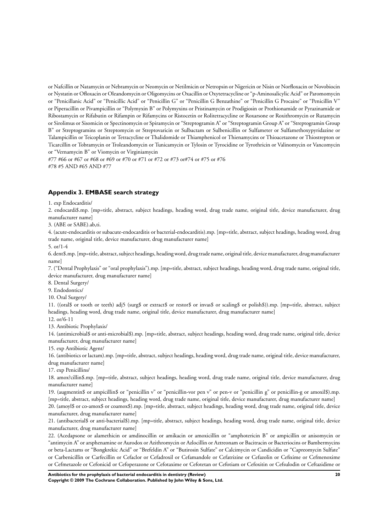<span id="page-21-0"></span>or Nafcillin or Natamycin or Nebramycin or Neomycin or Netilmicin or Netropsin or Nigericin or Nisin or Norfloxacin or Novobiocin or Nystatin or Ofloxacin or Oleandomycin or Oligomycins or Oxacillin or Oxytetracycline or "p-Aminosalicylic Acid" or Paromomycin or "Penicillanic Acid" or "Penicillic Acid" or "Penicillin G" or "Penicillin G Benzathine" or "Penicillin G Procaine" or "Penicillin V" or Piperacillin or Pivampicillin or "Polymyxin B" or Polymyxins or Pristinamycin or Prodigiosin or Prothionamide or Pyrazinamide or Ribostamycin or Rifabutin or Rifampin or Rifamycins or Ristocetin or Rolitetracycline or Roxarsone or Roxithromycin or Rutamycin or Sirolimus or Sisomicin or Spectinomycin or Spiramycin or "Streptogramin A" or "Streptogramin Group A" or "Streptogramin Group B" or Streptogramins or Streptomycin or Streptovaricin or Sulbactam or Sulbenicillin or Sulfameter or Sulfamethoxypyridazine or Talampicillin or Teicoplanin or Tetracycline or Thalidomide or Thiamphenicol or Thienamycins or Thioacetazone or Thiostrepton or Ticarcillin or Tobramycin or Troleandomycin or Tunicamycin or Tylosin or Tyrocidine or Tyrothricin or Valinomycin or Vancomycin or "Vernamycin B" or Viomycin or Virginiamycin

#77 #66 or #67 or #68 or #69 or #70 or #71 or #72 or #73 or #74 or #75 or #76 #78 #5 AND #65 AND #77

# **Appendix 3. EMBASE search strategy**

1. exp Endocarditis/

2. endocardi\$.mp. [mp=title, abstract, subject headings, heading word, drug trade name, original title, device manufacturer, drug manufacturer name]

3. (ABE or SABE).ab,ti.

4. (acute-endocarditis or subacute-endocarditis or bacterial-endocarditis).mp. [mp=title, abstract, subject headings, heading word, drug trade name, original title, device manufacturer, drug manufacturer name]

5. or/1-4

6. dent\$.mp. [mp=title, abstract, subject headings, heading word, drug trade name, original title, device manufacturer, drug manufacturer name]

7. ("Dental Prophylaxis" or "oral prophylaxis").mp. [mp=title, abstract, subject headings, heading word, drug trade name, original title, device manufacturer, drug manufacturer name]

8. Dental Surgery/

9. Endodontics/

10. Oral Surgery/

11. ((oral\$ or tooth or teeth) adj5 (surg\$ or extract\$ or restor\$ or invas\$ or scaling\$ or polish\$)).mp. [mp=title, abstract, subject headings, heading word, drug trade name, original title, device manufacturer, drug manufacturer name]

12. or/6-11 13. Antibiotic Prophylaxis/

14. (antimicrobial\$ or anti-microbial\$).mp. [mp=title, abstract, subject headings, heading word, drug trade name, original title, device manufacturer, drug manufacturer name]

15. exp Antibiotic Agent/

16. (antibiotics or lactam).mp. [mp=title, abstract, subject headings, heading word, drug trade name, original title, device manufacturer, drug manufacturer name]

17. exp Penicillins/

18. amox?cillin\$.mp. [mp=title, abstract, subject headings, heading word, drug trade name, original title, device manufacturer, drug manufacturer name]

19. (augmentin\$ or ampicillin\$ or "penicillin v" or "penicillin-vor pen v" or pen-v or "penicillin g" or penicillin-g or amoxil\$).mp. [mp=title, abstract, subject headings, heading word, drug trade name, original title, device manufacturer, drug manufacturer name]

20. (amoyl\$ or co-amox\$ or coamox\$).mp. [mp=title, abstract, subject headings, heading word, drug trade name, original title, device manufacturer, drug manufacturer name]

21. (antibacterial\$ or anti-bacterial\$).mp. [mp=title, abstract, subject headings, heading word, drug trade name, original title, device manufacturer, drug manufacturer name]

22. (Acedapsone or alamethicin or amdinocillin or amikacin or amoxicillin or "amphotericin B" or ampicillin or anisomycin or "antimycin A" or arsphenamine or Aurodox or Azithromycin or Azlocillin or Aztreonam or Bacitracin or Bacteriocins or Bambermycins or beta-Lactams or "Bongkrekic Acid" or "Brefeldin A" or "Butirosin Sulfate" or Calcimycin or Candicidin or "Capreomycin Sulfate" or Carbenicillin or Carfecillin or Cefaclor or Cefadroxil or Cefamandole or Cefatrizine or Cefazolin or Cefixime or Cefmenoxime or Cefmetazole or Cefonicid or Cefoperazone or Cefotaxime or Cefotetan or Cefotiam or Cefoxitin or Cefsulodin or Ceftazidime or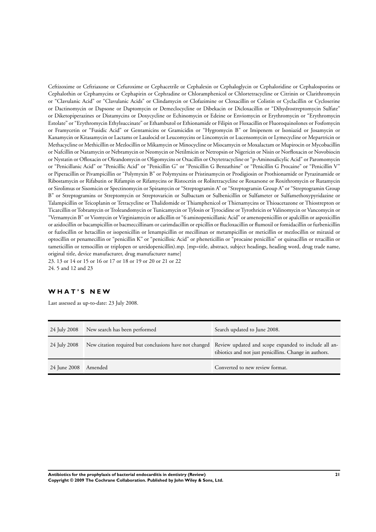Ceftizoxime or Ceftriaxone or Cefuroxime or Cephacetrile or Cephalexin or Cephaloglycin or Cephaloridine or Cephalosporins or Cephalothin or Cephamycins or Cephapirin or Cephradine or Chloramphenicol or Chlortetracycline or Citrinin or Clarithromycin or "Clavulanic Acid" or "Clavulanic Acids" or Clindamycin or Clofazimine or Cloxacillin or Colistin or Cyclacillin or Cycloserine or Dactinomycin or Dapsone or Daptomycin or Demeclocycline or Dibekacin or Dicloxacillin or "Dihydrostreptomycin Sulfate" or Diketopiperazines or Distamycins or Doxycycline or Echinomycin or Edeine or Enviomycin or Erythromycin or "Erythromycin Estolate" or "Erythromycin Ethylsuccinate" or Ethambutol or Ethionamide or Filipin or Floxacillin or Fluoroquinolones or Fosfomycin or Framycetin or "Fusidic Acid" or Gentamicins or Gramicidin or "Hygromycin B" or Imipenem or Isoniazid or Josamycin or Kanamycin or Kitasamycin or Lactams or Lasalocid or Leucomycins or Lincomycin or Lucensomycin or Lymecycline or Mepartricin or Methacycline or Methicillin or Mezlocillin or Mikamycin or Minocycline or Miocamycin or Moxalactam or Mupirocin or Mycobacillin or Nafcillin or Natamycin or Nebramycin or Neomycin or Netilmicin or Netropsin or Nigericin or Nisin or Norfloxacin or Novobiocin or Nystatin or Ofloxacin or Oleandomycin or Oligomycins or Oxacillin or Oxytetracycline or "p-Aminosalicylic Acid" or Paromomycin or "Penicillanic Acid" or "Penicillic Acid" or "Penicillin G" or "Penicillin G Benzathine" or "Penicillin G Procaine" or "Penicillin V" or Piperacillin or Pivampicillin or "Polymyxin B" or Polymyxins or Pristinamycin or Prodigiosin or Prothionamide or Pyrazinamide or Ribostamycin or Rifabutin or Rifampin or Rifamycins or Ristocetin or Rolitetracycline or Roxarsone or Roxithromycin or Rutamycin or Sirolimus or Sisomicin or Spectinomycin or Spiramycin or "Streptogramin A" or "Streptogramin Group A" or "Streptogramin Group B" or Streptogramins or Streptomycin or Streptovaricin or Sulbactam or Sulbenicillin or Sulfameter or Sulfamethoxypyridazine or Talampicillin or Teicoplanin or Tetracycline or Thalidomide or Thiamphenicol or Thienamycins or Thioacetazone or Thiostrepton or Ticarcillin or Tobramycin or Troleandomycin or Tunicamycin or Tylosin or Tyrocidine or Tyrothricin or Valinomycin or Vancomycin or "Vernamycin B" or Viomycin or Virginiamycin or adicillin or "6 aminopenicillanic Acid" or amenopenicillin or apalcillin or aspoxicillin or azidocillin or bacampicillin or bacmeccillinam or carimdacillin or epicillin or flucloxacillin or flumoxil or fomidacillin or furbenicillin or fuzlocillin or hetacillin or isopenicillin or lenampicillin or mecillinan or metampicillin or meticillin or mezlocillin or miraxid or optocillin or penamecillin or "penicillin K" or "penicilloic Acid" or pheneticillin or "procaine penicillin" or quinacillin or retacillin or tameticillin or temocillin or triplopen or ureidopenicillin).mp. [mp=title, abstract, subject headings, heading word, drug trade name, original title, device manufacturer, drug manufacturer name] 23. 13 or 14 or 15 or 16 or 17 or 18 or 19 or 20 or 21 or 22 24. 5 and 12 and 23

# **W H A T ' S N E W**

Last assessed as up-to-date: 23 July 2008.

| 24 July 2008 | New search has been performed                                                                               | Search updated to June 2008.                           |
|--------------|-------------------------------------------------------------------------------------------------------------|--------------------------------------------------------|
| 24 July 2008 | New citation required but conclusions have not changed Review updated and scope expanded to include all an- | tibiotics and not just penicillins. Change in authors. |
| 24 June 2008 | Amended                                                                                                     | Converted to new review format.                        |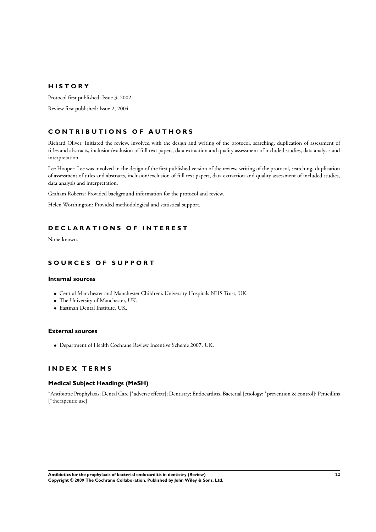# **H I S T O R Y**

Protocol first published: Issue 3, 2002

Review first published: Issue 2, 2004

# **C O N T R I B U T I O N S O F A U T H O R S**

Richard Oliver: Initiated the review, involved with the design and writing of the protocol, searching, duplication of assessment of titles and abstracts, inclusion/exclusion of full text papers, data extraction and quality assessment of included studies, data analysis and interpretation.

Lee Hooper: Lee was involved in the design of the first published version of the review, writing of the protocol, searching, duplication of assessment of titles and abstracts, inclusion/exclusion of full text papers, data extraction and quality assessment of included studies, data analysis and interpretation.

Graham Roberts: Provided background information for the protocol and review.

Helen Worthington: Provided methodological and statistical support.

# **D E C L A R A T I O N S O F I N T E R E S T**

None known.

# **S O U R C E S O F S U P P O R T**

### **Internal sources**

- Central Manchester and Manchester Children's University Hospitals NHS Trust, UK.
- The University of Manchester, UK.
- Eastman Dental Institute, UK.

# **External sources**

• Department of Health Cochrane Review Incentive Scheme 2007, UK.

# **I N D E X T E R M S**

# **Medical Subject Headings (MeSH)**

<sup>∗</sup>Antibiotic Prophylaxis; Dental Care [<sup>∗</sup> adverse effects]; Dentistry; Endocarditis, Bacterial [etiology; <sup>∗</sup>prevention & control]; Penicillins [ ∗ therapeutic use]